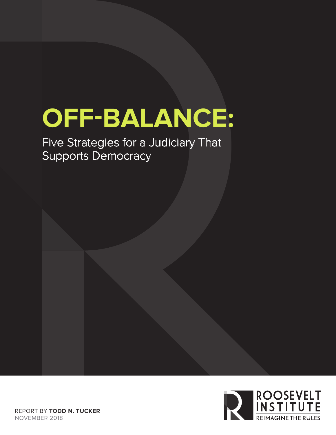# **OFF-BALANCE:**

Five Strategies for a Judiciary That Supports Democracy

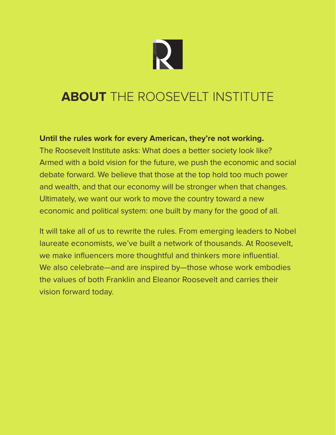

## **ABOUT** THE ROOSEVELT INSTITUTE

#### **Until the rules work for every American, they're not working.**

The Roosevelt Institute asks: What does a better society look like? Armed with a bold vision for the future, we push the economic and social debate forward. We believe that those at the top hold too much power and wealth, and that our economy will be stronger when that changes. Ultimately, we want our work to move the country toward a new economic and political system: one built by many for the good of all.

It will take all of us to rewrite the rules. From emerging leaders to Nobel laureate economists, we've built a network of thousands. At Roosevelt, we make influencers more thoughtful and thinkers more influential. We also celebrate—and are inspired by—those whose work embodies the values of both Franklin and Eleanor Roosevelt and carries their vision forward today.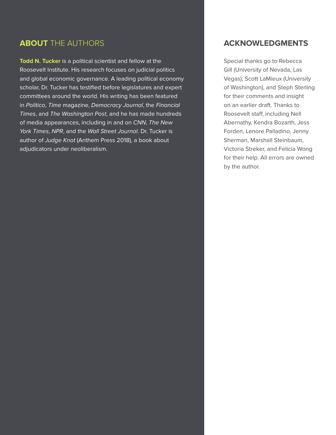#### **ABOUT** THE AUTHORS

**Todd N. Tucker** is a political scientist and fellow at the Roosevelt Institute. His research focuses on judicial politics and global economic governance. A leading political economy scholar, Dr. Tucker has testified before legislatures and expert committees around the world. His writing has been featured in *Politico*, *Time* magazine, *Democracy Journal*, the *Financial Times*, and *The Washington Post*, and he has made hundreds of media appearances, including in and on *CNN*, *The New York Times*, *NPR*, and the *Wall Street Journal*. Dr. Tucker is author of *Judge Knot* (Anthem Press 2018), a book about adjudicators under neoliberalism.

#### **ACKNOWLEDGMENTS**

Special thanks go to Rebecca Gill (University of Nevada, Las Vegas), Scott LaMieux (University of Washington), and Steph Sterling for their comments and insight on an earlier draft. Thanks to Roosevelt staff, including Nell Abernathy, Kendra Bozarth, Jess Forden, Lenore Palladino, Jenny Sherman, Marshall Steinbaum, Victoria Streker, and Felicia Wong for their help. All errors are owned by the author.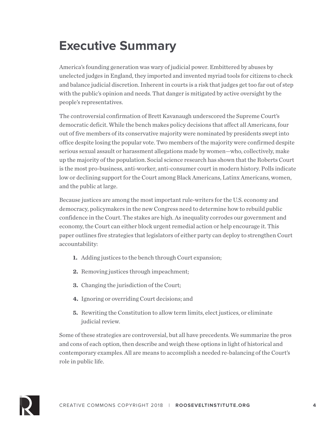# **Executive Summary**

America's founding generation was wary of judicial power. Embittered by abuses by unelected judges in England, they imported and invented myriad tools for citizens to check and balance judicial discretion. Inherent in courts is a risk that judges get too far out of step with the public's opinion and needs. That danger is mitigated by active oversight by the people's representatives.

The controversial confirmation of Brett Kavanaugh underscored the Supreme Court's democratic deficit. While the bench makes policy decisions that affect all Americans, four out of five members of its conservative majority were nominated by presidents swept into office despite losing the popular vote. Two members of the majority were confirmed despite serious sexual assault or harassment allegations made by women—who, collectively, make up the majority of the population. Social science research has shown that the Roberts Court is the most pro-business, anti-worker, anti-consumer court in modern history. Polls indicate low or declining support for the Court among Black Americans, Latinx Americans, women, and the public at large.

Because justices are among the most important rule-writers for the U.S. economy and democracy, policymakers in the new Congress need to determine how to rebuild public confidence in the Court. The stakes are high. As inequality corrodes our government and economy, the Court can either block urgent remedial action or help encourage it. This paper outlines five strategies that legislators of either party can deploy to strengthen Court accountability:

- **1.** Adding justices to the bench through Court expansion;
- **2.** Removing justices through impeachment;
- **3.** Changing the jurisdiction of the Court;
- **4.** Ignoring or overriding Court decisions; and
- **5.** Rewriting the Constitution to allow term limits, elect justices, or eliminate judicial review.

Some of these strategies are controversial, but all have precedents. We summarize the pros and cons of each option, then describe and weigh these options in light of historical and contemporary examples. All are means to accomplish a needed re-balancing of the Court's role in public life.

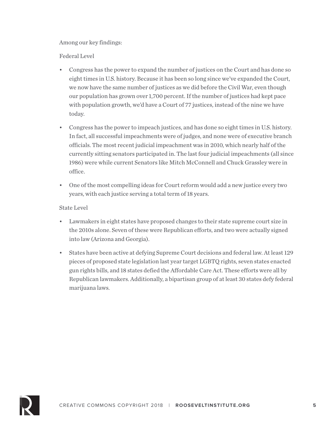#### Among our key findings:

Federal Level

- Congress has the power to expand the number of justices on the Court and has done so eight times in U.S. history. Because it has been so long since we've expanded the Court, we now have the same number of justices as we did before the Civil War, even though our population has grown over 1,700 percent. If the number of justices had kept pace with population growth, we'd have a Court of 77 justices, instead of the nine we have today.
- Congress has the power to impeach justices, and has done so eight times in U.S. history. In fact, all successful impeachments were of judges, and none were of executive branch officials. The most recent judicial impeachment was in 2010, which nearly half of the currently sitting senators participated in. The last four judicial impeachments (all since 1986) were while current Senators like Mitch McConnell and Chuck Grassley were in office.
- One of the most compelling ideas for Court reform would add a new justice every two years, with each justice serving a total term of 18 years.

#### State Level

- Lawmakers in eight states have proposed changes to their state supreme court size in the 2010s alone. Seven of these were Republican efforts, and two were actually signed into law (Arizona and Georgia).
- States have been active at defying Supreme Court decisions and federal law. At least 129 pieces of proposed state legislation last year target LGBTQ rights, seven states enacted gun rights bills, and 18 states defied the Affordable Care Act. These efforts were all by Republican lawmakers. Additionally, a bipartisan group of at least 30 states defy federal marijuana laws.

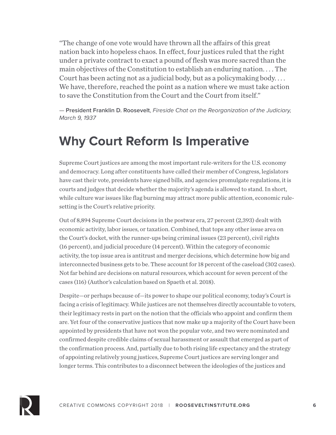"The change of one vote would have thrown all the affairs of this great nation back into hopeless chaos. In effect, four justices ruled that the right under a private contract to exact a pound of flesh was more sacred than the main objectives of the Constitution to establish an enduring nation. . . . The Court has been acting not as a judicial body, but as a policymaking body. . . . We have, therefore, reached the point as a nation where we must take action to save the Constitution from the Court and the Court from itself."

— **President Franklin D. Roosevelt**, *Fireside Chat on the Reorganization of the Judiciary, March 9, 1937*

### **Why Court Reform Is Imperative**

Supreme Court justices are among the most important rule-writers for the U.S. economy and democracy. Long after constituents have called their member of Congress, legislators have cast their vote, presidents have signed bills, and agencies promulgate regulations, it is courts and judges that decide whether the majority's agenda is allowed to stand. In short, while culture war issues like flag burning may attract more public attention, economic rulesetting is the Court's relative priority.

Out of 8,894 Supreme Court decisions in the postwar era, 27 percent (2,393) dealt with economic activity, labor issues, or taxation. Combined, that tops any other issue area on the Court's docket, with the runner-ups being criminal issues (23 percent), civil rights (16 percent), and judicial procedure (14 percent). Within the category of economic activity, the top issue area is antitrust and merger decisions, which determine how big and interconnected business gets to be. These account for 18 percent of the caseload (302 cases). Not far behind are decisions on natural resources, which account for seven percent of the cases (116) (Author's calculation based on Spaeth et al. 2018).

Despite—or perhaps because of—its power to shape our political economy, today's Court is facing a crisis of legitimacy. While justices are not themselves directly accountable to voters, their legitimacy rests in part on the notion that the officials who appoint and confirm them are. Yet four of the conservative justices that now make up a majority of the Court have been appointed by presidents that have not won the popular vote, and two were nominated and confirmed despite credible claims of sexual harassment or assault that emerged as part of the confirmation process. And, partially due to both rising life expectancy and the strategy of appointing relatively young justices, Supreme Court justices are serving longer and longer terms. This contributes to a disconnect between the ideologies of the justices and

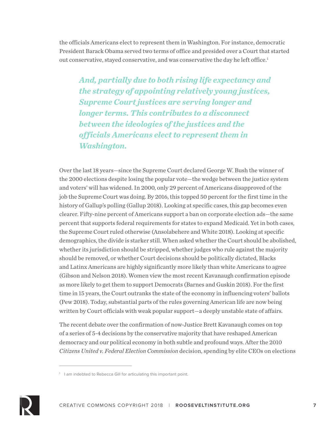the officials Americans elect to represent them in Washington. For instance, democratic President Barack Obama served two terms of office and presided over a Court that started out conservative, stayed conservative, and was conservative the day he left office.<sup>1</sup>

*And, partially due to both rising life expectancy and the strategy of appointing relatively young justices, Supreme Court justices are serving longer and longer terms. This contributes to a disconnect between the ideologies of the justices and the officials Americans elect to represent them in Washington.* 

Over the last 18 years—since the Supreme Court declared George W. Bush the winner of the 2000 elections despite losing the popular vote—the wedge between the justice system and voters' will has widened. In 2000, only 29 percent of Americans disapproved of the job the Supreme Court was doing. By 2016, this topped 50 percent for the first time in the history of Gallup's polling (Gallup 2018). Looking at specific cases, this gap becomes even clearer. Fifty-nine percent of Americans support a ban on corporate election ads—the same percent that supports federal requirements for states to expand Medicaid. Yet in both cases, the Supreme Court ruled otherwise (Ansolabehere and White 2018). Looking at specific demographics, the divide is starker still. When asked whether the Court should be abolished, whether its jurisdiction should be stripped, whether judges who rule against the majority should be removed, or whether Court decisions should be politically dictated, Blacks and Latinx Americans are highly significantly more likely than white Americans to agree (Gibson and Nelson 2018). Women view the most recent Kavanaugh confirmation episode as more likely to get them to support Democrats (Barnes and Guskin 2018). For the first time in 15 years, the Court outranks the state of the economy in influencing voters' ballots (Pew 2018). Today, substantial parts of the rules governing American life are now being written by Court officials with weak popular support—a deeply unstable state of affairs.

The recent debate over the confirmation of now-Justice Brett Kavanaugh comes on top of a series of 5-4 decisions by the conservative majority that have reshaped American democracy and our political economy in both subtle and profound ways. After the 2010 *Citizens United v. Federal Election Commission* decision, spending by elite CEOs on elections



<sup>&</sup>lt;sup>1</sup> I am indebted to Rebecca Gill for articulating this important point.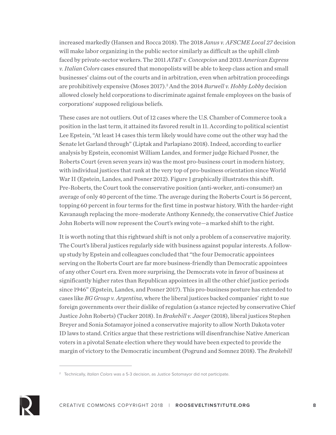increased markedly (Hansen and Rocca 2018). The 2018 *Janus v. AFSCME Local 27* decision will make labor organizing in the public sector similarly as difficult as the uphill climb faced by private-sector workers. The 2011 *AT&T v. Concepcion* and 2013 *American Express v. Italian Colors* cases ensured that monopolists will be able to keep class action and small businesses' claims out of the courts and in arbitration, even when arbitration proceedings are prohibitively expensive (Moses 2017).<sup>2</sup> And the 2014 *Burwell v. Hobby Lobby* decision allowed closely held corporations to discriminate against female employees on the basis of corporations' supposed religious beliefs.

These cases are not outliers. Out of 12 cases where the U.S. Chamber of Commerce took a position in the last term, it attained its favored result in 11. According to political scientist Lee Epstein, "At least 14 cases this term likely would have come out the other way had the Senate let Garland through" (Liptak and Parlapiano 2018). Indeed, according to earlier analysis by Epstein, economist William Landes, and former judge Richard Posner, the Roberts Court (even seven years in) was the most pro-business court in modern history, with individual justices that rank at the very top of pro-business orientation since World War II (Epstein, Landes, and Posner 2012). Figure 1 graphically illustrates this shift. Pre-Roberts, the Court took the conservative position (anti-worker, anti-consumer) an average of only 40 percent of the time. The average during the Roberts Court is 56 percent, topping 60 percent in four terms for the first time in postwar history. With the harder-right Kavanaugh replacing the more-moderate Anthony Kennedy, the conservative Chief Justice John Roberts will now represent the Court's swing vote—a marked shift to the right.

It is worth noting that this rightward shift is not only a problem of a conservative majority. The Court's liberal justices regularly side with business against popular interests. A followup study by Epstein and colleagues concluded that "the four Democratic appointees serving on the Roberts Court are far more business-friendly than Democratic appointees of any other Court era. Even more surprising, the Democrats vote in favor of business at significantly higher rates than Republican appointees in all the other chief justice periods since 1946" (Epstein, Landes, and Posner 2017). This pro-business posture has extended to cases like *BG Group v. Argentina*, where the liberal justices backed companies' right to sue foreign governments over their dislike of regulation (a stance rejected by conservative Chief Justice John Roberts) (Tucker 2018). In *Brakebill v. Jaeger* (2018), liberal justices Stephen Breyer and Sonia Sotamayor joined a conservative majority to allow North Dakota voter ID laws to stand. Critics argue that these restrictions will disenfranchise Native American voters in a pivotal Senate election where they would have been expected to provide the margin of victory to the Democratic incumbent (Pogrund and Somnez 2018). The *Brakebill*



<sup>2</sup> Technically, *Italian Colors* was a 5-3 decision, as Justice Sotomayor did not participate.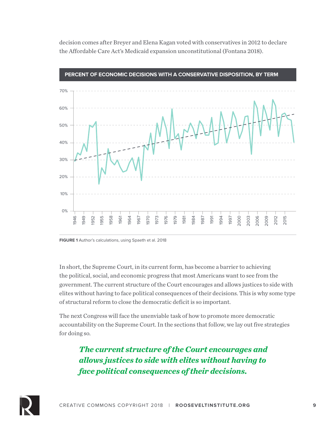decision comes after Breyer and Elena Kagan voted with conservatives in 2012 to declare the Affordable Care Act's Medicaid expansion unconstitutional (Fontana 2018).



**PERCENT OF ECONOMIC DECISIONS WITH A CONSERVATIVE DISPOSITION, BY TERM**

**FIGURE 1** Author's calculations, using Spaeth et al. 2018

In short, the Supreme Court, in its current form, has become a barrier to achieving the political, social, and economic progress that most Americans want to see from the government. The current structure of the Court encourages and allows justices to side with elites without having to face political consequences of their decisions. This is why some type of structural reform to close the democratic deficit is so important.

The next Congress will face the unenviable task of how to promote more democratic accountability on the Supreme Court. In the sections that follow, we lay out five strategies for doing so.

*The current structure of the Court encourages and allows justices to side with elites without having to face political consequences of their decisions.*

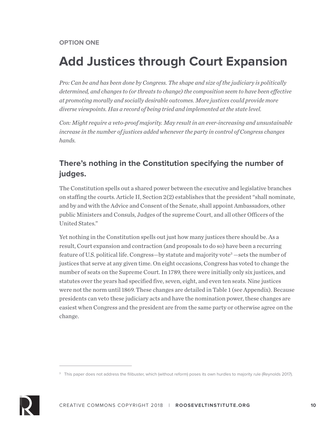# **Add Justices through Court Expansion**

*Pro: Can be and has been done by Congress. The shape and size of the judiciary is politically determined, and changes to (or threats to change) the composition seem to have been effective at promoting morally and socially desirable outcomes. More justices could provide more diverse viewpoints. Has a record of being tried and implemented at the state level.*

*Con: Might require a veto-proof majority. May result in an ever-increasing and unsustainable increase in the number of justices added whenever the party in control of Congress changes hands.*

### **There's nothing in the Constitution specifying the number of judges.**

The Constitution spells out a shared power between the executive and legislative branches on staffing the courts. Article II, Section 2(2) establishes that the president "shall nominate, and by and with the Advice and Consent of the Senate, shall appoint Ambassadors, other public Ministers and Consuls, Judges of the supreme Court, and all other Officers of the United States."

Yet nothing in the Constitution spells out just how many justices there should be. As a result, Court expansion and contraction (and proposals to do so) have been a recurring feature of U.S. political life. Congress—by statute and majority vote<sup>3</sup> —sets the number of justices that serve at any given time. On eight occasions, Congress has voted to change the number of seats on the Supreme Court. In 1789, there were initially only six justices, and statutes over the years had specified five, seven, eight, and even ten seats. Nine justices were not the norm until 1869. These changes are detailed in Table 1 (see Appendix). Because presidents can veto these judiciary acts and have the nomination power, these changes are easiest when Congress and the president are from the same party or otherwise agree on the change.



<sup>&</sup>lt;sup>3</sup> This paper does not address the filibuster, which (without reform) poses its own hurdles to majority rule (Reynolds 2017).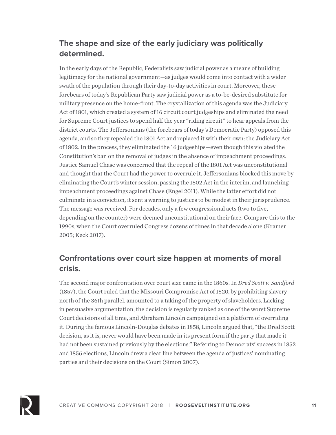#### **The shape and size of the early judiciary was politically determined.**

In the early days of the Republic, Federalists saw judicial power as a means of building legitimacy for the national government—as judges would come into contact with a wider swath of the population through their day-to-day activities in court. Moreover, these forebears of today's Republican Party saw judicial power as a to-be-desired substitute for military presence on the home-front. The crystallization of this agenda was the Judiciary Act of 1801, which created a system of 16 circuit court judgeships and eliminated the need for Supreme Court justices to spend half the year "riding circuit" to hear appeals from the district courts. The Jeffersonians (the forebears of today's Democratic Party) opposed this agenda, and so they repealed the 1801 Act and replaced it with their own: the Judiciary Act of 1802. In the process, they eliminated the 16 judgeships—even though this violated the Constitution's ban on the removal of judges in the absence of impeachment proceedings. Justice Samuel Chase was concerned that the repeal of the 1801 Act was unconstitutional and thought that the Court had the power to overrule it. Jeffersonians blocked this move by eliminating the Court's winter session, passing the 1802 Act in the interim, and launching impeachment proceedings against Chase (Engel 2011). While the latter effort did not culminate in a conviction, it sent a warning to justices to be modest in their jurisprudence. The message was received. For decades, only a few congressional acts (two to five, depending on the counter) were deemed unconstitutional on their face. Compare this to the 1990s, when the Court overruled Congress dozens of times in that decade alone (Kramer 2005; Keck 2017).

#### **Confrontations over court size happen at moments of moral crisis.**

The second major confrontation over court size came in the 1860s. In *Dred Scott v. Sandford* (1857), the Court ruled that the Missouri Compromise Act of 1820, by prohibiting slavery north of the 36th parallel, amounted to a taking of the property of slaveholders. Lacking in persuasive argumentation, the decision is regularly ranked as one of the worst Supreme Court decisions of all time, and Abraham Lincoln campaigned on a platform of overriding it. During the famous Lincoln-Douglas debates in 1858, Lincoln argued that, "the Dred Scott decision, as it is, never would have been made in its present form if the party that made it had not been sustained previously by the elections." Referring to Democrats' success in 1852 and 1856 elections, Lincoln drew a clear line between the agenda of justices' nominating parties and their decisions on the Court (Simon 2007).

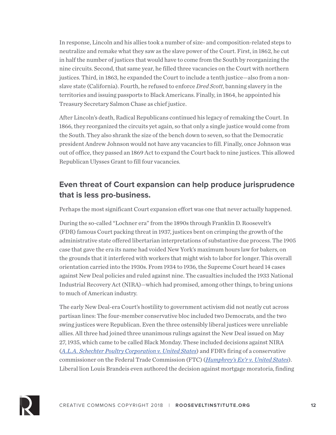In response, Lincoln and his allies took a number of size- and composition-related steps to neutralize and remake what they saw as the slave power of the Court. First, in 1862, he cut in half the number of justices that would have to come from the South by reorganizing the nine circuits. Second, that same year, he filled three vacancies on the Court with northern justices. Third, in 1863, he expanded the Court to include a tenth justice—also from a nonslave state (California). Fourth, he refused to enforce *Dred Scott*, banning slavery in the territories and issuing passports to Black Americans. Finally, in 1864, he appointed his Treasury Secretary Salmon Chase as chief justice.

After Lincoln's death, Radical Republicans continued his legacy of remaking the Court. In 1866, they reorganized the circuits yet again, so that only a single justice would come from the South. They also shrank the size of the bench down to seven, so that the Democratic president Andrew Johnson would not have any vacancies to fill. Finally, once Johnson was out of office, they passed an 1869 Act to expand the Court back to nine justices. This allowed Republican Ulysses Grant to fill four vacancies.

#### **Even threat of Court expansion can help produce jurisprudence that is less pro-business.**

Perhaps the most significant Court expansion effort was one that never actually happened.

During the so-called "Lochner era" from the 1890s through Franklin D. Roosevelt's (FDR) famous Court packing threat in 1937, justices bent on crimping the growth of the administrative state offered libertarian interpretations of substantive due process. The 1905 case that gave the era its name had voided New York's maximum hours law for bakers, on the grounds that it interfered with workers that might wish to labor for longer. This overall orientation carried into the 1930s. From 1934 to 1936, the Supreme Court heard 14 cases against New Deal policies and ruled against nine. The casualties included the 1933 National Industrial Recovery Act (NIRA)—which had promised, among other things, to bring unions to much of American industry.

The early New Deal-era Court's hostility to government activism did not neatly cut across partisan lines: The four-member conservative bloc included two Democrats, and the two swing justices were Republican. Even the three ostensibly liberal justices were unreliable allies. All three had joined three unanimous rulings against the New Deal issued on May 27, 1935, which came to be called Black Monday. These included decisions against NIRA (*A.L.A. Schechter Poultry Corporation v. United States*) and FDR's firing of a conservative commissioner on the Federal Trade Commission (FTC) (*Humphrey's Ex'r v. United States*). Liberal lion Louis Brandeis even authored the decision against mortgage moratoria, finding

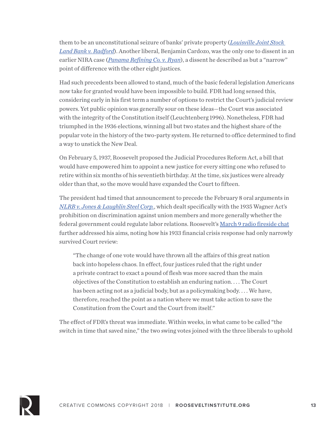them to be an unconstitutional seizure of banks' private property (*Louisville Joint Stock Land Bank v. Radford*). Another liberal, Benjamin Cardozo, was the only one to dissent in an earlier NIRA case (*Panama Refining Co. v. Ryan*), a dissent he described as but a "narrow" point of difference with the other eight justices.

Had such precedents been allowed to stand, much of the basic federal legislation Americans now take for granted would have been impossible to build. FDR had long sensed this, considering early in his first term a number of options to restrict the Court's judicial review powers. Yet public opinion was generally sour on these ideas—the Court was associated with the integrity of the Constitution itself (Leuchtenberg 1996). Nonetheless, FDR had triumphed in the 1936 elections, winning all but two states and the highest share of the popular vote in the history of the two-party system. He returned to office determined to find a way to unstick the New Deal.

On February 5, 1937, Roosevelt proposed the Judicial Procedures Reform Act, a bill that would have empowered him to appoint a new justice for every sitting one who refused to retire within six months of his seventieth birthday. At the time, six justices were already older than that, so the move would have expanded the Court to fifteen.

The president had timed that announcement to precede the February 8 oral arguments in *NLRB v. Jones & Laughlin Steel Corp.*, which dealt specifically with the 1935 Wagner Act's prohibition on discrimination against union members and more generally whether the federal government could regulate labor relations. Roosevelt's March 9 radio fireside chat further addressed his aims, noting how his 1933 financial crisis response had only narrowly survived Court review:

"The change of one vote would have thrown all the affairs of this great nation back into hopeless chaos. In effect, four justices ruled that the right under a private contract to exact a pound of flesh was more sacred than the main objectives of the Constitution to establish an enduring nation. . . . The Court has been acting not as a judicial body, but as a policymaking body. . . . We have, therefore, reached the point as a nation where we must take action to save the Constitution from the Court and the Court from itself."

The effect of FDR's threat was immediate. Within weeks, in what came to be called "the switch in time that saved nine," the two swing votes joined with the three liberals to uphold

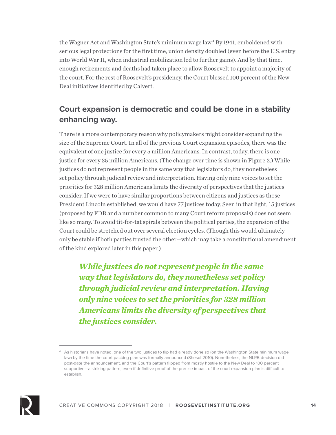the Wagner Act and Washington State's minimum wage law.4 By 1941, emboldened with serious legal protections for the first time, union density doubled (even before the U.S. entry into World War II, when industrial mobilization led to further gains). And by that time, enough retirements and deaths had taken place to allow Roosevelt to appoint a majority of the court. For the rest of Roosevelt's presidency, the Court blessed 100 percent of the New Deal initiatives identified by Calvert.

### **Court expansion is democratic and could be done in a stability enhancing way.**

There is a more contemporary reason why policymakers might consider expanding the size of the Supreme Court. In all of the previous Court expansion episodes, there was the equivalent of one justice for every 5 million Americans. In contrast, today, there is one justice for every 35 million Americans. (The change over time is shown in Figure 2.) While justices do not represent people in the same way that legislators do, they nonetheless set policy through judicial review and interpretation. Having only nine voices to set the priorities for 328 million Americans limits the diversity of perspectives that the justices consider. If we were to have similar proportions between citizens and justices as those President Lincoln established, we would have 77 justices today. Seen in that light, 15 justices (proposed by FDR and a number common to many Court reform proposals) does not seem like so many. To avoid tit-for-tat spirals between the political parties, the expansion of the Court could be stretched out over several election cycles. (Though this would ultimately only be stable if both parties trusted the other—which may take a constitutional amendment of the kind explored later in this paper.)

*While justices do not represent people in the same way that legislators do, they nonetheless set policy through judicial review and interpretation. Having only nine voices to set the priorities for 328 million Americans limits the diversity of perspectives that the justices consider.*



<sup>4</sup> As historians have noted, one of the two justices to flip had already done so (on the Washington State minimum wage law) by the time the court packing plan was formally announced (Shesol 2010). Nonetheless, the NLRB decision did post-date the announcement, and the Court's pattern flipped from mostly hostile to the New Deal to 100 percent supportive—a striking pattern, even if definitive proof of the precise impact of the court expansion plan is difficult to establish.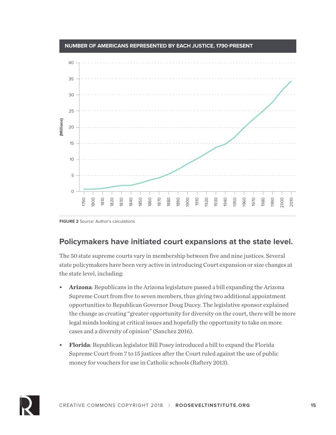



#### **Policymakers have initiated court expansions at the state level.**

The 50 state supreme courts vary in membership between five and nine justices. Several state policymakers have been very active in introducing Court expansion or size changes at the state level, including:

- **• Arizona**: Republicans in the Arizona legislature passed a bill expanding the Arizona Supreme Court from five to seven members, thus giving two additional appointment opportunities to Republican Governor Doug Ducey. The legislative sponsor explained the change as creating "greater opportunity for diversity on the court, there will be more legal minds looking at critical issues and hopefully the opportunity to take on more cases and a diversity of opinion" (Sanchez 2016).
- **• Florida**: Republican legislator Bill Posey introduced a bill to expand the Florida Supreme Court from 7 to 15 justices after the Court ruled against the use of public money for vouchers for use in Catholic schools (Raftery 2013).

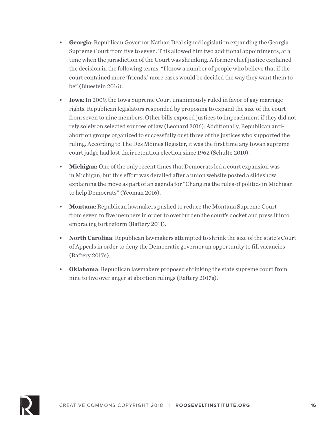- **• Georgia**: Republican Governor Nathan Deal signed legislation expanding the Georgia Supreme Court from five to seven. This allowed him two additional appointments, at a time when the jurisdiction of the Court was shrinking. A former chief justice explained the decision in the following terms: "I know a number of people who believe that if the court contained more 'friends,' more cases would be decided the way they want them to be" (Bluestein 2016).
- **• Iowa**: In 2009, the Iowa Supreme Court unanimously ruled in favor of gay marriage rights. Republican legislators responded by proposing to expand the size of the court from seven to nine members. Other bills exposed justices to impeachment if they did not rely solely on selected sources of law (Leonard 2016). Additionally, Republican antiabortion groups organized to successfully oust three of the justices who supported the ruling. According to The Des Moines Register, it was the first time any Iowan supreme court judge had lost their retention election since 1962 (Schulte 2010).
- **• Michigan:** One of the only recent times that Democrats led a court expansion was in Michigan, but this effort was derailed after a union website posted a slideshow explaining the move as part of an agenda for "Changing the rules of politics in Michigan to help Democrats" (Yeoman 2016).
- **• Montana**: Republican lawmakers pushed to reduce the Montana Supreme Court from seven to five members in order to overburden the court's docket and press it into embracing tort reform (Raftery 2011).
- **• North Carolina**: Republican lawmakers attempted to shrink the size of the state's Court of Appeals in order to deny the Democratic governor an opportunity to fill vacancies (Raftery 2017c).
- **• Oklahoma**: Republican lawmakers proposed shrinking the state supreme court from nine to five over anger at abortion rulings (Raftery 2017a).

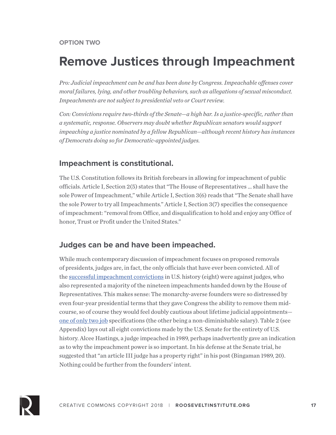### **Remove Justices through Impeachment**

*Pro: Judicial impeachment can be and has been done by Congress. Impeachable offenses cover moral failures, lying, and other troubling behaviors, such as allegations of sexual misconduct. Impeachments are not subject to presidential veto or Court review.* 

*Con: Convictions require two-thirds of the Senate—a high bar. Is a justice-specific, rather than a systematic, response. Observers may doubt whether Republican senators would support impeaching a justice nominated by a fellow Republican—although recent history has instances of Democrats doing so for Democratic-appointed judges.*

#### **Impeachment is constitutional.**

The U.S. Constitution follows its British forebears in allowing for impeachment of public officials. Article I, Section 2(5) states that "The House of Representatives … shall have the sole Power of Impeachment," while Article I, Section 3(6) reads that "The Senate shall have the sole Power to try all Impeachments." Article I, Section 3(7) specifies the consequence of impeachment: "removal from Office, and disqualification to hold and enjoy any Office of honor, Trust or Profit under the United States."

#### **Judges can be and have been impeached.**

While much contemporary discussion of impeachment focuses on proposed removals of presidents, judges are, in fact, the only officials that have ever been convicted. All of the successful impeachment convictions in U.S. history (eight) were against judges, who also represented a majority of the nineteen impeachments handed down by the House of Representatives. This makes sense: The monarchy-averse founders were so distressed by even four-year presidential terms that they gave Congress the ability to remove them midcourse, so of course they would feel doubly cautious about lifetime judicial appointments one of only two job specifications (the other being a non-diminishable salary). Table 2 (see Appendix) lays out all eight convictions made by the U.S. Senate for the entirety of U.S. history. Alcee Hastings, a judge impeached in 1989, perhaps inadvertently gave an indication as to why the impeachment power is so important. In his defense at the Senate trial, he suggested that "an article III judge has a property right" in his post (Bingaman 1989, 20). Nothing could be further from the founders' intent.

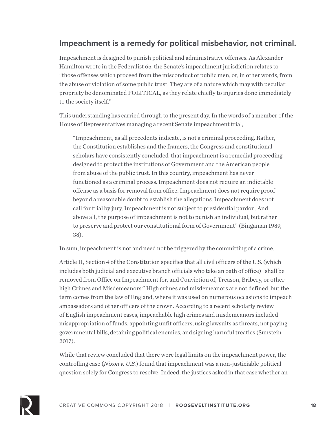#### **Impeachment is a remedy for political misbehavior, not criminal.**

Impeachment is designed to punish political and administrative offenses. As Alexander Hamilton wrote in the Federalist 65, the Senate's impeachment jurisdiction relates to "those offenses which proceed from the misconduct of public men, or, in other words, from the abuse or violation of some public trust. They are of a nature which may with peculiar propriety be denominated POLITICAL, as they relate chiefly to injuries done immediately to the society itself."

This understanding has carried through to the present day. In the words of a member of the House of Representatives managing a recent Senate impeachment trial,

"Impeachment, as all precedents indicate, is not a criminal proceeding. Rather, the Constitution establishes and the framers, the Congress and constitutional scholars have consistently concluded-that impeachment is a remedial proceeding designed to protect the institutions of Government and the American people from abuse of the public trust. In this country, impeachment has never functioned as a criminal process. Impeachment does not require an indictable offense as a basis for removal from office. Impeachment does not require proof beyond a reasonable doubt to establish the allegations. Impeachment does not call for trial by jury. Impeachment is not subject to presidential pardon. And above all, the purpose of impeachment is not to punish an individual, but rather to preserve and protect our constitutional form of Government" (Bingaman 1989, 38).

In sum, impeachment is not and need not be triggered by the committing of a crime.

Article II, Section 4 of the Constitution specifies that all civil officers of the U.S. (which includes both judicial and executive branch officials who take an oath of office) "shall be removed from Office on Impeachment for, and Conviction of, Treason, Bribery, or other high Crimes and Misdemeanors." High crimes and misdemeanors are not defined, but the term comes from the law of England, where it was used on numerous occasions to impeach ambassadors and other officers of the crown. According to a recent scholarly review of English impeachment cases, impeachable high crimes and misdemeanors included misappropriation of funds, appointing unfit officers, using lawsuits as threats, not paying governmental bills, detaining political enemies, and signing harmful treaties (Sunstein 2017).

While that review concluded that there were legal limits on the impeachment power, the controlling case (*Nixon v. U.S.*) found that impeachment was a non-justiciable political question solely for Congress to resolve. Indeed, the justices asked in that case whether an

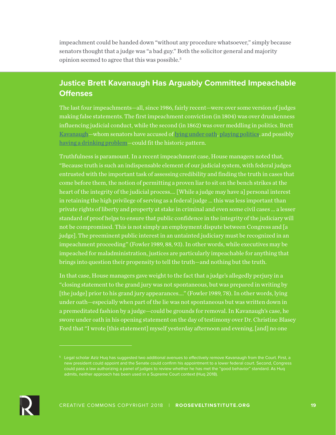impeachment could be handed down "without any procedure whatsoever," simply because senators thought that a judge was "a bad guy." Both the solicitor general and majority opinion seemed to agree that this was possible.5

#### **Justice Brett Kavanaugh Has Arguably Committed Impeachable Offenses**

The last four impeachments—all, since 1986, fairly recent—were over some version of judges making false statements. The first impeachment conviction (in 1804) was over drunkenness influencing judicial conduct, while the second (in 1862) was over meddling in politics. Brett Kavanaugh—whom senators have accused of lying under oath, playing politics, and possibly having a drinking problem—could fit the historic pattern.

Truthfulness is paramount. In a recent impeachment case, House managers noted that, "Because truth is such an indispensable element of our judicial system, with federal judges entrusted with the important task of assessing credibility and finding the truth in cases that come before them, the notion of permitting a proven liar to sit on the bench strikes at the heart of the integrity of the judicial process.... [While a judge may have a] personal interest in retaining the high privilege of serving as a federal judge … this was less important than private rights of liberty and property at stake in criminal and even some civil cases … a lesser standard of proof helps to ensure that public confidence in the integrity of the judiciary will not be compromised. This is not simply an employment dispute between Congress and [a judge]. The preeminent public interest in an untainted judiciary must be recognized in an impeachment proceeding" (Fowler 1989, 88, 93). In other words, while executives may be impeached for maladministration, justices are particularly impeachable for anything that brings into question their propensity to tell the truth—and nothing but the truth.

In that case, House managers gave weight to the fact that a judge's allegedly perjury in a "closing statement to the grand jury was not spontaneous, but was prepared in writing by [the judge] prior to his grand jury appearances…." (Fowler 1989, 78). In other words, lying under oath—especially when part of the lie was not spontaneous but was written down in a premeditated fashion by a judge—could be grounds for removal. In Kavanaugh's case, he swore under oath in his opening statement on the day of testimony over Dr. Christine Blasey Ford that "I wrote [this statement] myself yesterday afternoon and evening, [and] no one



<sup>&</sup>lt;sup>5</sup> Legal scholar Aziz Huq has suggested two additional avenues to effectively remove Kavanaugh from the Court. First, a new president could appoint and the Senate could confirm his appointment to a lower federal court. Second, Congress admits, neither approach has been used in a Supreme Court context (Huq 2018).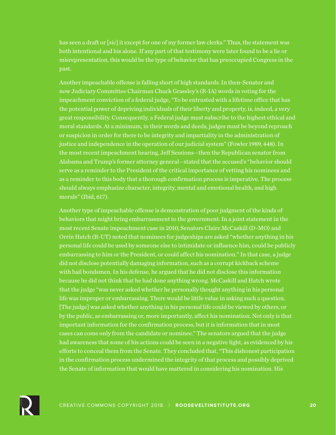has seen a draft or [sic] it except for one of my former law clerks." Thus, the statement was both intentional and his alone. If any part of that testimony were later found to be a lie or misrepresentation, this would be the type of behavior that has preoccupied Congress in the past.

Another impeachable offense is falling short of high standards. In then-Senator and now Judiciary Committee Chairman Chuck Grassley's (R-IA) words in voting for the impeachment conviction of a federal judge, "To be entrusted with a lifetime office that has the potential power of depriving individuals of their liberty and property, is, indeed, a very great responsibility. Consequently, a Federal judge must subscribe to the highest ethical and moral standards. At a minimum, in their words and deeds, judges must be beyond reproach or suspicion in order for there to be integrity and impartiality in the administration of justice and independence in the operation of our judicial system" (Fowler 1989, 448). In the most recent impeachment hearing, Jeff Sessions—then the Republican senator from Alabama and Trump's former attorney general—stated that the accused's "behavior should serve as a reminder to the President of the critical importance of vetting his nominees and as a reminder to this body that a thorough confirmation process is imperative. The process should always emphasize character, integrity, mental and emotional health, and high morals" (Ibid, 617).

Another type of impeachable offense is demonstration of poor judgment of the kinds of behaviors that might bring embarrassment to the government. In a joint statement in the most recent Senate impeachment case in 2010, Senators Claire McCaskill (D-MO) and Orrin Hatch (R-UT) noted that nominees for judgeships are asked "whether anything in his personal life could be used by someone else to intimidate or influence him, could be publicly embarrassing to him or the President, or could affect his nomination." In that case, a judge did not disclose potentially damaging information, such as a corrupt kickback scheme with bail bondsmen. In his defense, he argued that he did not disclose this information because he did not think that he had done anything wrong. McCaskill and Hatch wrote that the judge "was never asked whether he personally thought anything in his personal life was improper or embarrassing. There would be little value in asking such a question. [The judge] was asked whether anything in his personal life could be viewed by others, or by the public, as embarrassing or, more importantly, affect his nomination. Not only is that important information for the confirmation process, but it is information that in most cases can come only from the candidate or nominee." The senators argued that the judge had awareness that some of his actions could be seen in a negative light, as evidenced by his efforts to conceal them from the Senate. They concluded that, "This dishonest participation in the confirmation process undermined the integrity of that process and possibly deprived the Senate of information that would have mattered in considering his nomination. His

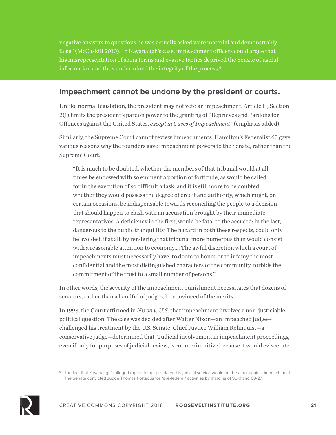negative answers to questions he was actually asked were material and demonstrably false" (McCaskill 2010). In Kavanaugh's case, impeachment officers could argue that his misrepresentation of slang terms and evasive tactics deprived the Senate of useful information and thus undermined the integrity of the process.<sup>6</sup>

#### **Impeachment cannot be undone by the president or courts.**

Unlike normal legislation, the president may not veto an impeachment. Article II, Section 2(1) limits the president's pardon power to the granting of "Reprieves and Pardons for Offences against the United States, *except in Cases of Impeachment*" (emphasis added).

Similarly, the Supreme Court cannot review impeachments. Hamilton's Federalist 65 gave various reasons why the founders gave impeachment powers to the Senate, rather than the Supreme Court:

"It is much to be doubted, whether the members of that tribunal would at all times be endowed with so eminent a portion of fortitude, as would be called for in the execution of so difficult a task; and it is still more to be doubted, whether they would possess the degree of credit and authority, which might, on certain occasions, be indispensable towards reconciling the people to a decision that should happen to clash with an accusation brought by their immediate representatives. A deficiency in the first, would be fatal to the accused; in the last, dangerous to the public tranquillity. The hazard in both these respects, could only be avoided, if at all, by rendering that tribunal more numerous than would consist with a reasonable attention to economy.… The awful discretion which a court of impeachments must necessarily have, to doom to honor or to infamy the most confidential and the most distinguished characters of the community, forbids the commitment of the trust to a small number of persons."

In other words, the severity of the impeachment punishment necessitates that dozens of senators, rather than a handful of judges, be convinced of the merits.

In 1993, the Court affirmed in *Nixon v. U.S.* that impeachment involves a non-justiciable political question. The case was decided after Walter Nixon—an impeached judge challenged his treatment by the U.S. Senate. Chief Justice William Rehnquist—a conservative judge—determined that "Judicial involvement in impeachment proceedings, even if only for purposes of judicial review, is counterintuitive because it would eviscerate



<sup>&</sup>lt;sup>6</sup> The fact that Kavanaugh's alleged rape attempt pre-dated his judicial service would not be a bar against impeachment. The Senate convicted Judge Thomas Porteous for "pre-federal" activities by margins of 96-0 and 69-27.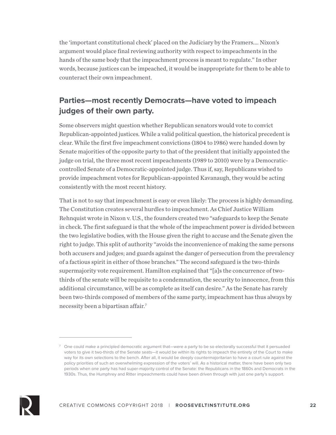the 'important constitutional check' placed on the Judiciary by the Framers.… Nixon's argument would place final reviewing authority with respect to impeachments in the hands of the same body that the impeachment process is meant to regulate." In other words, because justices can be impeached, it would be inappropriate for them to be able to counteract their own impeachment.

### **Parties—most recently Democrats—have voted to impeach judges of their own party.**

Some observers might question whether Republican senators would vote to convict Republican-appointed justices. While a valid political question, the historical precedent is clear. While the first five impeachment convictions (1804 to 1986) were handed down by Senate majorities of the opposite party to that of the president that initially appointed the judge on trial, the three most recent impeachments (1989 to 2010) were by a Democraticcontrolled Senate of a Democratic-appointed judge. Thus if, say, Republicans wished to provide impeachment votes for Republican-appointed Kavanaugh, they would be acting consistently with the most recent history.

That is not to say that impeachment is easy or even likely: The process is highly demanding. The Constitution creates several hurdles to impeachment. As Chief Justice William Rehnquist wrote in Nixon v. U.S., the founders created two "safeguards to keep the Senate in check. The first safeguard is that the whole of the impeachment power is divided between the two legislative bodies, with the House given the right to accuse and the Senate given the right to judge. This split of authority "avoids the inconvenience of making the same persons both accusers and judges; and guards against the danger of persecution from the prevalency of a factious spirit in either of those branches." The second safeguard is the two-thirds supermajority vote requirement. Hamilton explained that "[a]s the concurrence of twothirds of the senate will be requisite to a condemnation, the security to innocence, from this additional circumstance, will be as complete as itself can desire." As the Senate has rarely been two-thirds composed of members of the same party, impeachment has thus always by necessity been a bipartisan affair.7



 $\sigma$  One could make a principled democratic argument that—were a party to be so electorally successful that it persuaded voters to give it two-thirds of the Senate seats—it would be within its rights to impeach the entirety of the Court to make way for its own selections to the bench. After all, it would be deeply countermajoritarian to have a court rule against the policy priorities of such an overwhelming expression of the voters' will. As a historical matter, there have been only two periods when one party has had super-majority control of the Senate: the Republicans in the 1860s and Democrats in the 1930s. Thus, the Humphrey and Ritter impeachments could have been driven through with just one party's support.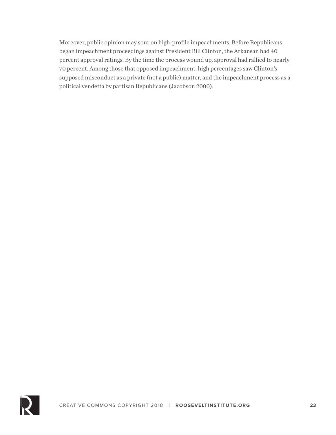Moreover, public opinion may sour on high-profile impeachments. Before Republicans began impeachment proceedings against President Bill Clinton, the Arkansan had 40 percent approval ratings. By the time the process wound up, approval had rallied to nearly 70 percent. Among those that opposed impeachment, high percentages saw Clinton's supposed misconduct as a private (not a public) matter, and the impeachment process as a political vendetta by partisan Republicans (Jacobson 2000).

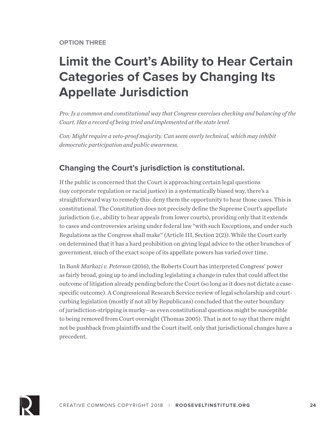# **Limit the Court's Ability to Hear Certain Categories of Cases by Changing Its Appellate Jurisdiction**

*Pro: Is a common and constitutional way that Congress exercises checking and balancing of the Court. Has a record of being tried and implemented at the state level.*

*Con: Might require a veto-proof majority. Can seem overly technical, which may inhibit democratic participation and public awareness.* 

#### **Changing the Court's jurisdiction is constitutional.**

If the public is concerned that the Court is approaching certain legal questions (say corporate regulation or racial justice) in a systematically biased way, there's a straightforward way to remedy this: deny them the opportunity to hear those cases. This is constitutional. The Constitution does not precisely define the Supreme Court's appellate jurisdiction (i.e., ability to hear appeals from lower courts), providing only that it extends to cases and controversies arising under federal law "with such Exceptions, and under such Regulations as the Congress shall make" (Article III, Section 2(2)). While the Court early on determined that it has a hard prohibition on giving legal advice to the other branches of government, much of the exact scope of its appellate powers has varied over time.

In B*ank Markazi v. Peterson* (2016), the Roberts Court has interpreted Congress' power as fairly broad, going up to and including legislating a change in rules that could affect the outcome of litigation already pending before the Court (so long as it does not dictate a casespecific outcome). A Congressional Research Service review of legal scholarship and courtcurbing legislation (mostly if not all by Republicans) concluded that the outer boundary of jurisdiction-stripping is murky—as even constitutional questions might be susceptible to being removed from Court oversight (Thomas 2005). That is not to say that there might not be pushback from plaintiffs and the Court itself, only that jurisdictional changes have a precedent.

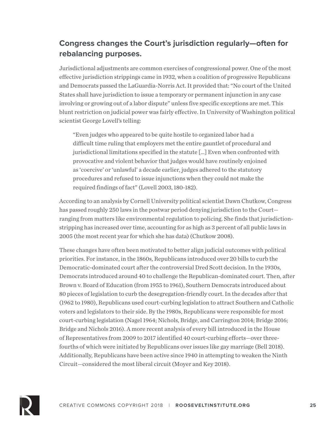### **Congress changes the Court's jurisdiction regularly—often for rebalancing purposes.**

Jurisdictional adjustments are common exercises of congressional power. One of the most effective jurisdiction strippings came in 1932, when a coalition of progressive Republicans and Democrats passed the LaGuardia-Norris Act. It provided that: "No court of the United States shall have jurisdiction to issue a temporary or permanent injunction in any case involving or growing out of a labor dispute" unless five specific exceptions are met. This blunt restriction on judicial power was fairly effective. In University of Washington political scientist George Lovell's telling:

"Even judges who appeared to be quite hostile to organized labor had a difficult time ruling that employers met the entire gauntlet of procedural and jurisdictional limitations specified in the statute […] Even when confronted with provocative and violent behavior that judges would have routinely enjoined as 'coercive' or 'unlawful' a decade earlier, judges adhered to the statutory procedures and refused to issue injunctions when they could not make the required findings of fact" (Lovell 2003, 180-182).

According to an analysis by Cornell University political scientist Dawn Chutkow, Congress has passed roughly 250 laws in the postwar period denying jurisdiction to the Court ranging from matters like environmental regulation to policing. She finds that jurisdictionstripping has increased over time, accounting for as high as 3 percent of all public laws in 2005 (the most recent year for which she has data) (Chutkow 2008).

These changes have often been motivated to better align judicial outcomes with political priorities. For instance, in the 1860s, Republicans introduced over 20 bills to curb the Democratic-dominated court after the controversial Dred Scott decision. In the 1930s, Democrats introduced around 40 to challenge the Republican-dominated court. Then, after Brown v. Board of Education (from 1955 to 1961), Southern Democrats introduced about 80 pieces of legislation to curb the desegregation-friendly court. In the decades after that (1962 to 1980), Republicans used court-curbing legislation to attract Southern and Catholic voters and legislators to their side. By the 1980s, Republicans were responsible for most court-curbing legislation (Nagel 1964; Nichols, Bridge, and Carrington 2014; Bridge 2016; Bridge and Nichols 2016). A more recent analysis of every bill introduced in the House of Representatives from 2009 to 2017 identified 40 court-curbing efforts—over threefourths of which were initiated by Republicans over issues like gay marriage (Bell 2018). Additionally, Republicans have been active since 1940 in attempting to weaken the Ninth Circuit—considered the most liberal circuit (Moyer and Key 2018).

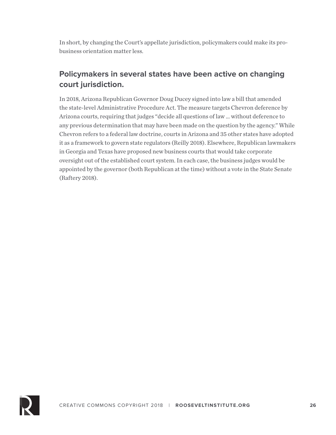In short, by changing the Court's appellate jurisdiction, policymakers could make its probusiness orientation matter less.

### **Policymakers in several states have been active on changing court jurisdiction.**

In 2018, Arizona Republican Governor Doug Ducey signed into law a bill that amended the state-level Administrative Procedure Act. The measure targets Chevron deference by Arizona courts, requiring that judges "decide all questions of law … without deference to any previous determination that may have been made on the question by the agency." While Chevron refers to a federal law doctrine, courts in Arizona and 35 other states have adopted it as a framework to govern state regulators (Reilly 2018). Elsewhere, Republican lawmakers in Georgia and Texas have proposed new business courts that would take corporate oversight out of the established court system. In each case, the business judges would be appointed by the governor (both Republican at the time) without a vote in the State Senate (Raftery 2018).

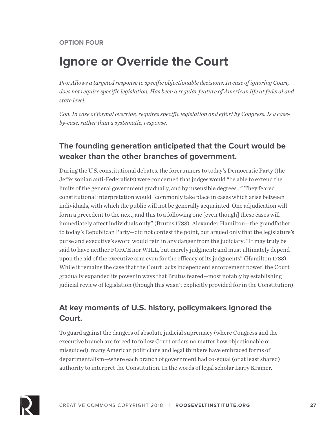### **Ignore or Override the Court**

*Pro: Allows a targeted response to specific objectionable decisions. In case of ignoring Court, does not require specific legislation. Has been a regular feature of American life at federal and state level.*

*Con: In case of formal override, requires specific legislation and effort by Congress. Is a caseby-case, rather than a systematic, response.*

#### **The founding generation anticipated that the Court would be weaker than the other branches of government.**

During the U.S. constitutional debates, the forerunners to today's Democratic Party (the Jeffersonian anti-Federalists) were concerned that judges would "be able to extend the limits of the general government gradually, and by insensible degrees…" They feared constitutional interpretation would "commonly take place in cases which arise between individuals, with which the public will not be generally acquainted. One adjudication will form a precedent to the next, and this to a following one [even though] these cases will immediately affect individuals only" (Brutus 1788). Alexander Hamilton—the grandfather to today's Republican Party—did not contest the point, but argued only that the legislature's purse and executive's sword would rein in any danger from the judiciary: "It may truly be said to have neither FORCE nor WILL, but merely judgment; and must ultimately depend upon the aid of the executive arm even for the efficacy of its judgments" (Hamilton 1788). While it remains the case that the Court lacks independent enforcement power, the Court gradually expanded its power in ways that Brutus feared—most notably by establishing judicial review of legislation (though this wasn't explicitly provided for in the Constitution).

#### **At key moments of U.S. history, policymakers ignored the Court.**

To guard against the dangers of absolute judicial supremacy (where Congress and the executive branch are forced to follow Court orders no matter how objectionable or misguided), many American politicians and legal thinkers have embraced forms of departmentalism—where each branch of government had co-equal (or at least shared) authority to interpret the Constitution. In the words of legal scholar Larry Kramer,

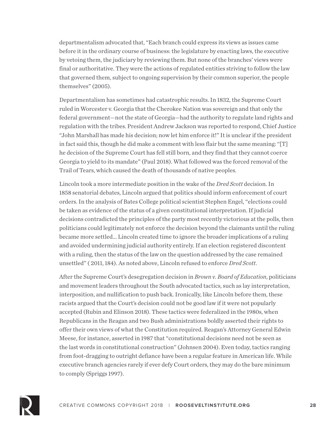departmentalism advocated that, "Each branch could express its views as issues came before it in the ordinary course of business: the legislature by enacting laws, the executive by vetoing them, the judiciary by reviewing them. But none of the branches' views were final or authoritative. They were the actions of regulated entities striving to follow the law that governed them, subject to ongoing supervision by their common superior, the people themselves" (2005).

Departmentalism has sometimes had catastrophic results. In 1832, the Supreme Court ruled in Worcester v. Georgia that the Cherokee Nation was sovereign and that only the federal government—not the state of Georgia—had the authority to regulate land rights and regulation with the tribes. President Andrew Jackson was reported to respond, Chief Justice "John Marshall has made his decision; now let him enforce it!" It is unclear if the president in fact said this, though he did make a comment with less flair but the same meaning: "[T] he decision of the Supreme Court has fell still born, and they find that they cannot coerce Georgia to yield to its mandate" (Paul 2018). What followed was the forced removal of the Trail of Tears, which caused the death of thousands of native peoples.

Lincoln took a more intermediate position in the wake of the *Dred Scott* decision. In 1858 senatorial debates, Lincoln argued that politics should inform enforcement of court orders. In the analysis of Bates College political scientist Stephen Engel, "elections could be taken as evidence of the status of a given constitutional interpretation. If judicial decisions contradicted the principles of the party most recently victorious at the polls, then politicians could legitimately not enforce the decision beyond the claimants until the ruling became more settled… Lincoln created time to ignore the broader implications of a ruling and avoided undermining judicial authority entirely. If an election registered discontent with a ruling, then the status of the law on the question addressed by the case remained unsettled" ( 2011, 184). As noted above, Lincoln refused to enforce *Dred Scott*.

After the Supreme Court's desegregation decision in *Brown v. Board of Education*, politicians and movement leaders throughout the South advocated tactics, such as lay interpretation, interposition, and nullification to push back. Ironically, like Lincoln before them, these racists argued that the Court's decision could not be good law if it were not popularly accepted (Rubin and Elinson 2018). These tactics were federalized in the 1980s, when Republicans in the Reagan and two Bush administrations boldly asserted their rights to offer their own views of what the Constitution required. Reagan's Attorney General Edwin Meese, for instance, asserted in 1987 that "constitutional decisions need not be seen as the last words in constitutional construction" (Johnsen 2004). Even today, tactics ranging from foot-dragging to outright defiance have been a regular feature in American life. While executive branch agencies rarely if ever defy Court orders, they may do the bare minimum to comply (Spriggs 1997).

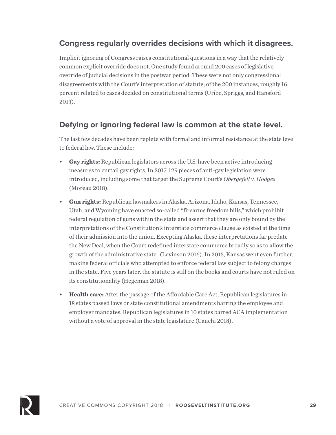#### **Congress regularly overrides decisions with which it disagrees.**

Implicit ignoring of Congress raises constitutional questions in a way that the relatively common explicit override does not. One study found around 200 cases of legislative override of judicial decisions in the postwar period. These were not only congressional disagreements with the Court's interpretation of statute; of the 200 instances, roughly 16 percent related to cases decided on constitutional terms (Uribe, Spriggs, and Hansford 2014).

#### **Defying or ignoring federal law is common at the state level.**

The last few decades have been replete with formal and informal resistance at the state level to federal law. These include:

- **• Gay rights:** Republican legislators across the U.S. have been active introducing measures to curtail gay rights. In 2017, 129 pieces of anti-gay legislation were introduced, including some that target the Supreme Court's *Obergefell v. Hodges* (Moreau 2018).
- **• Gun rights:** Republican lawmakers in Alaska, Arizona, Idaho, Kansas, Tennessee, Utah, and Wyoming have enacted so-called "firearms freedom bills," which prohibit federal regulation of guns within the state and assert that they are only bound by the interpretations of the Constitution's interstate commerce clause as existed at the time of their admission into the union. Excepting Alaska, these interpretations far predate the New Deal, when the Court redefined interstate commerce broadly so as to allow the growth of the administrative state (Levinson 2016). In 2013, Kansas went even further, making federal officials who attempted to enforce federal law subject to felony charges in the state. Five years later, the statute is still on the books and courts have not ruled on its constitutionality (Hegeman 2018).
- **• Health care:** After the passage of the Affordable Care Act, Republican legislatures in 18 states passed laws or state constitutional amendments barring the employee and employer mandates. Republican legislatures in 10 states barred ACA implementation without a vote of approval in the state legislature (Cauchi 2018).

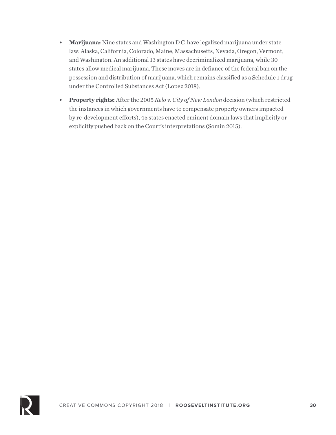- **• Marijuana:** Nine states and Washington D.C. have legalized marijuana under state law: Alaska, California, Colorado, Maine, Massachusetts, Nevada, Oregon, Vermont, and Washington. An additional 13 states have decriminalized marijuana, while 30 states allow medical marijuana. These moves are in defiance of the federal ban on the possession and distribution of marijuana, which remains classified as a Schedule 1 drug under the Controlled Substances Act (Lopez 2018).
- **• Property rights:** After the 2005 *Kelo v. City of New London* decision (which restricted the instances in which governments have to compensate property owners impacted by re-development efforts), 45 states enacted eminent domain laws that implicitly or explicitly pushed back on the Court's interpretations (Somin 2015).

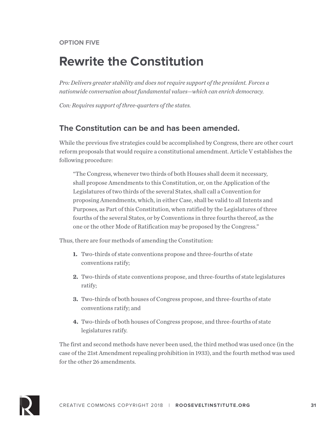### **Rewrite the Constitution**

*Pro: Delivers greater stability and does not require support of the president. Forces a nationwide conversation about fundamental values—which can enrich democracy.*

*Con: Requires support of three-quarters of the states.*

#### **The Constitution can be and has been amended.**

While the previous five strategies could be accomplished by Congress, there are other court reform proposals that would require a constitutional amendment. Article V establishes the following procedure:

"The Congress, whenever two thirds of both Houses shall deem it necessary, shall propose Amendments to this Constitution, or, on the Application of the Legislatures of two thirds of the several States, shall call a Convention for proposing Amendments, which, in either Case, shall be valid to all Intents and Purposes, as Part of this Constitution, when ratified by the Legislatures of three fourths of the several States, or by Conventions in three fourths thereof, as the one or the other Mode of Ratification may be proposed by the Congress."

Thus, there are four methods of amending the Constitution:

- **1.** Two-thirds of state conventions propose and three-fourths of state conventions ratify;
- **2.** Two-thirds of state conventions propose, and three-fourths of state legislatures ratify;
- **3.** Two-thirds of both houses of Congress propose, and three-fourths of state conventions ratify; and
- **4.** Two-thirds of both houses of Congress propose, and three-fourths of state legislatures ratify.

The first and second methods have never been used, the third method was used once (in the case of the 21st Amendment repealing prohibition in 1933), and the fourth method was used for the other 26 amendments.

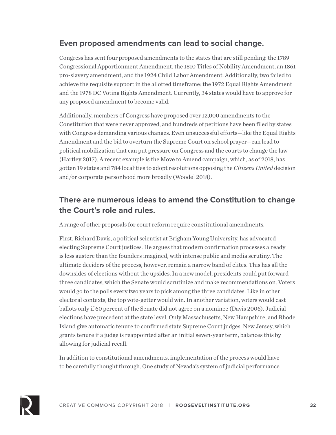#### **Even proposed amendments can lead to social change.**

Congress has sent four proposed amendments to the states that are still pending: the 1789 Congressional Apportionment Amendment, the 1810 Titles of Nobility Amendment, an 1861 pro-slavery amendment, and the 1924 Child Labor Amendment. Additionally, two failed to achieve the requisite support in the allotted timeframe: the 1972 Equal Rights Amendment and the 1978 DC Voting Rights Amendment. Currently, 34 states would have to approve for any proposed amendment to become valid.

Additionally, members of Congress have proposed over 12,000 amendments to the Constitution that were never approved, and hundreds of petitions have been filed by states with Congress demanding various changes. Even unsuccessful efforts—like the Equal Rights Amendment and the bid to overturn the Supreme Court on school prayer—can lead to political mobilization that can put pressure on Congress and the courts to change the law (Hartley 2017). A recent example is the Move to Amend campaign, which, as of 2018, has gotten 19 states and 784 localities to adopt resolutions opposing the *Citizens United* decision and/or corporate personhood more broadly (Woodel 2018).

#### **There are numerous ideas to amend the Constitution to change the Court's role and rules.**

A range of other proposals for court reform require constitutional amendments.

First, Richard Davis, a political scientist at Brigham Young University, has advocated electing Supreme Court justices. He argues that modern confirmation processes already is less austere than the founders imagined, with intense public and media scrutiny. The ultimate deciders of the process, however, remain a narrow band of elites. This has all the downsides of elections without the upsides. In a new model, presidents could put forward three candidates, which the Senate would scrutinize and make recommendations on. Voters would go to the polls every two years to pick among the three candidates. Like in other electoral contexts, the top vote-getter would win. In another variation, voters would cast ballots only if 60 percent of the Senate did not agree on a nominee (Davis 2006). Judicial elections have precedent at the state level. Only Massachusetts, New Hampshire, and Rhode Island give automatic tenure to confirmed state Supreme Court judges. New Jersey, which grants tenure if a judge is reappointed after an initial seven-year term, balances this by allowing for judicial recall.

In addition to constitutional amendments, implementation of the process would have to be carefully thought through. One study of Nevada's system of judicial performance

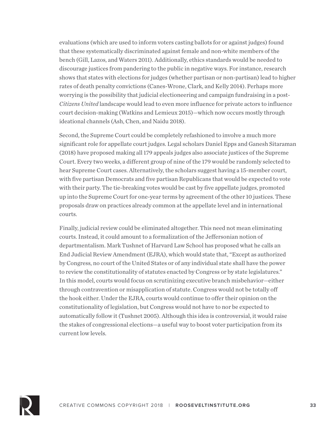evaluations (which are used to inform voters casting ballots for or against judges) found that these systematically discriminated against female and non-white members of the bench (Gill, Lazos, and Waters 2011). Additionally, ethics standards would be needed to discourage justices from pandering to the public in negative ways. For instance, research shows that states with elections for judges (whether partisan or non-partisan) lead to higher rates of death penalty convictions (Canes-Wrone, Clark, and Kelly 2014). Perhaps more worrying is the possibility that judicial electioneering and campaign fundraising in a post-*Citizens United* landscape would lead to even more influence for private actors to influence court decision-making (Watkins and Lemieux 2015)—which now occurs mostly through ideational channels (Ash, Chen, and Naidu 2018).

Second, the Supreme Court could be completely refashioned to involve a much more significant role for appellate court judges. Legal scholars Daniel Epps and Ganesh Sitaraman (2018) have proposed making all 179 appeals judges also associate justices of the Supreme Court. Every two weeks, a different group of nine of the 179 would be randomly selected to hear Supreme Court cases. Alternatively, the scholars suggest having a 15-member court, with five partisan Democrats and five partisan Republicans that would be expected to vote with their party. The tie-breaking votes would be cast by five appellate judges, promoted up into the Supreme Court for one-year terms by agreement of the other 10 justices. These proposals draw on practices already common at the appellate level and in international courts.

Finally, judicial review could be eliminated altogether. This need not mean eliminating courts. Instead, it could amount to a formalization of the Jeffersonian notion of departmentalism. Mark Tushnet of Harvard Law School has proposed what he calls an End Judicial Review Amendment (EJRA), which would state that, "Except as authorized by Congress, no court of the United States or of any individual state shall have the power to review the constitutionality of statutes enacted by Congress or by state legislatures." In this model, courts would focus on scrutinizing executive branch misbehavior—either through contravention or misapplication of statute. Congress would not be totally off the hook either. Under the EJRA, courts would continue to offer their opinion on the constitutionality of legislation, but Congress would not have to nor be expected to automatically follow it (Tushnet 2005). Although this idea is controversial, it would raise the stakes of congressional elections—a useful way to boost voter participation from its current low levels.

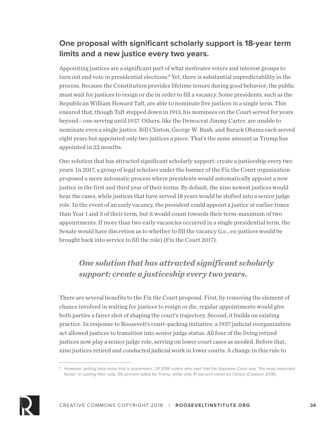#### **One proposal with significant scholarly support is 18-year term limits and a new justice every two years.**

Appointing justices are a significant part of what motivates voters and interest groups to turn out and vote in presidential elections.<sup>8</sup> Yet, there is substantial unpredictability in the process. Because the Constitution provides lifetime tenure during good behavior, the public must wait for justices to resign or die in order to fill a vacancy. Some presidents, such as the Republican William Howard Taft, are able to nominate five justices in a single term. This ensured that, though Taft stepped down in 1913, his nominees on the Court served for years beyond—one serving until 1937. Others, like the Democrat Jimmy Carter, are unable to nominate even a single justice. Bill Clinton, George W. Bush, and Barack Obama each served eight years but appointed only two justices a piece. That's the same amount as Trump has appointed in 22 months.

One solution that has attracted significant scholarly support: create a justiceship every two years. In 2017, a group of legal scholars under the banner of the Fix the Court organization proposed a more automatic process where presidents would automatically appoint a new justice in the first and third year of their terms. By default, the nine newest justices would hear the cases, while justices that have served 18 years would be shifted into a senior judge role. In the event of an early vacancy, the president could appoint a justice at earlier times than Year 1 and 3 of their term, but it would count towards their term-maximum of two appointments. If more than two early vacancies occurred in a single presidential term, the Senate would have discretion as to whether to fill the vacancy (i.e., ex-justices would be brought back into service to fill the role) (Fix the Court 2017).

### *One solution that has attracted significant scholarly support: create a justiceship every two years.*

There are several benefits to the Fix the Court proposal. First, by removing the element of chance involved in waiting for justices to resign or die, regular appointments would give both parties a fairer shot of shaping the court's trajectory. Second, it builds on existing practice. In response to Roosevelt's court-packing initiative, a 1937 judicial reorganization act allowed justices to transition into senior judge status. All four of the living retired justices now play a senior judge role, serving on lower court cases as needed. Before that, nine justices retired and conducted judicial work in lower courts. A change in this rule to



<sup>&</sup>lt;sup>8</sup> However, polling data show that is asymmetric. Of 2016 voters who said that the Supreme Court was "the most important factor" in casting their vote, 56 percent voted for Trump, while only 41 percent voted for Clinton (Coaston 2018).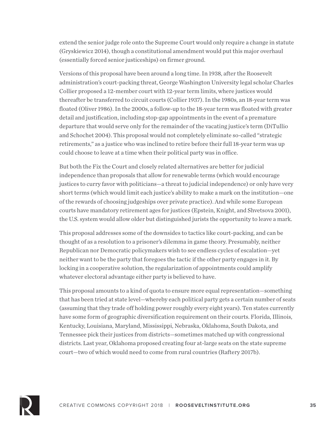extend the senior judge role onto the Supreme Court would only require a change in statute (Gryskiewicz 2014), though a constitutional amendment would put this major overhaul (essentially forced senior justiceships) on firmer ground.

Versions of this proposal have been around a long time. In 1938, after the Roosevelt administration's court-packing threat, George Washington University legal scholar Charles Collier proposed a 12-member court with 12-year term limits, where justices would thereafter be transferred to circuit courts (Collier 1937). In the 1980s, an 18-year term was floated (Oliver 1986). In the 2000s, a follow-up to the 18-year term was floated with greater detail and justification, including stop-gap appointments in the event of a premature departure that would serve only for the remainder of the vacating justice's term (DiTullio and Schochet 2004). This proposal would not completely eliminate so-called "strategic retirements," as a justice who was inclined to retire before their full 18-year term was up could choose to leave at a time when their political party was in office.

But both the Fix the Court and closely related alternatives are better for judicial independence than proposals that allow for renewable terms (which would encourage justices to curry favor with politicians—a threat to judicial independence) or only have very short terms (which would limit each justice's ability to make a mark on the institution—one of the rewards of choosing judgeships over private practice). And while some European courts have mandatory retirement ages for justices (Epstein, Knight, and Shvetsova 2001), the U.S. system would allow older but distinguished jurists the opportunity to leave a mark.

This proposal addresses some of the downsides to tactics like court-packing, and can be thought of as a resolution to a prisoner's dilemma in game theory. Presumably, neither Republican nor Democratic policymakers wish to see endless cycles of escalation—yet neither want to be the party that foregoes the tactic if the other party engages in it. By locking in a cooperative solution, the regularization of appointments could amplify whatever electoral advantage either party is believed to have.

This proposal amounts to a kind of quota to ensure more equal representation—something that has been tried at state level—whereby each political party gets a certain number of seats (assuming that they trade off holding power roughly every eight years). Ten states currently have some form of geographic diversification requirement on their courts. Florida, Illinois, Kentucky, Louisiana, Maryland, Mississippi, Nebraska, Oklahoma, South Dakota, and Tennessee pick their justices from districts—sometimes matched up with congressional districts. Last year, Oklahoma proposed creating four at-large seats on the state supreme court—two of which would need to come from rural countries (Raftery 2017b).

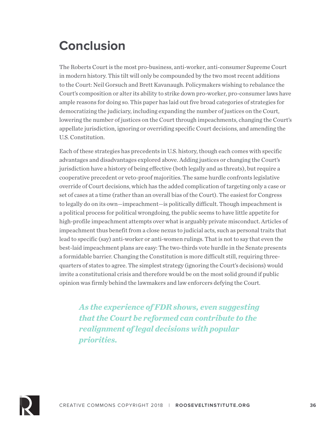# **Conclusion**

The Roberts Court is the most pro-business, anti-worker, anti-consumer Supreme Court in modern history. This tilt will only be compounded by the two most recent additions to the Court: Neil Gorsuch and Brett Kavanaugh. Policymakers wishing to rebalance the Court's composition or alter its ability to strike down pro-worker, pro-consumer laws have ample reasons for doing so. This paper has laid out five broad categories of strategies for democratizing the judiciary, including expanding the number of justices on the Court, lowering the number of justices on the Court through impeachments, changing the Court's appellate jurisdiction, ignoring or overriding specific Court decisions, and amending the U.S. Constitution.

Each of these strategies has precedents in U.S. history, though each comes with specific advantages and disadvantages explored above. Adding justices or changing the Court's jurisdiction have a history of being effective (both legally and as threats), but require a cooperative precedent or veto-proof majorities. The same hurdle confronts legislative override of Court decisions, which has the added complication of targeting only a case or set of cases at a time (rather than an overall bias of the Court). The easiest for Congress to legally do on its own—impeachment—is politically difficult. Though impeachment is a political process for political wrongdoing, the public seems to have little appetite for high-profile impeachment attempts over what is arguably private misconduct. Articles of impeachment thus benefit from a close nexus to judicial acts, such as personal traits that lead to specific (say) anti-worker or anti-women rulings. That is not to say that even the best-laid impeachment plans are easy: The two-thirds vote hurdle in the Senate presents a formidable barrier. Changing the Constitution is more difficult still, requiring threequarters of states to agree. The simplest strategy (ignoring the Court's decisions) would invite a constitutional crisis and therefore would be on the most solid ground if public opinion was firmly behind the lawmakers and law enforcers defying the Court.

*As the experience of FDR shows, even suggesting that the Court be reformed can contribute to the realignment of legal decisions with popular priorities.*

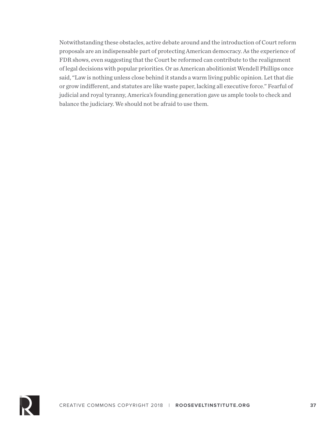Notwithstanding these obstacles, active debate around and the introduction of Court reform proposals are an indispensable part of protecting American democracy. As the experience of FDR shows, even suggesting that the Court be reformed can contribute to the realignment of legal decisions with popular priorities. Or as American abolitionist Wendell Phillips once said, "Law is nothing unless close behind it stands a warm living public opinion. Let that die or grow indifferent, and statutes are like waste paper, lacking all executive force." Fearful of judicial and royal tyranny, America's founding generation gave us ample tools to check and balance the judiciary. We should not be afraid to use them.

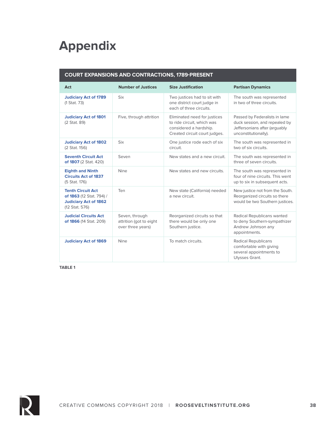# **Appendix**

#### **COURT EXPANSIONS AND CONTRACTIONS, 1789-PRESENT**

| Act                                                                                                    | <b>Number of Justices</b>                                      | <b>Size Justification</b>                                                                                             | <b>Partisan Dynamics</b>                                                                                                |  |
|--------------------------------------------------------------------------------------------------------|----------------------------------------------------------------|-----------------------------------------------------------------------------------------------------------------------|-------------------------------------------------------------------------------------------------------------------------|--|
| <b>Judiciary Act of 1789</b><br>(1 Stat. 73)                                                           | <b>Six</b>                                                     | Two justices had to sit with<br>one district court judge in<br>each of three circuits.                                | The south was represented<br>in two of three circuits.                                                                  |  |
| <b>Judiciary Act of 1801</b><br>(2 Stat. 89)                                                           | Five, through attrition                                        | Eliminated need for justices<br>to ride circuit, which was<br>considered a hardship.<br>Created circuit court judges. | Passed by Federalists in lame<br>duck session, and repealed by<br>Jeffersonians after (arquably<br>unconstitutionally). |  |
| <b>Judiciary Act of 1802</b><br>(2 Stat. 156)                                                          | <b>Six</b>                                                     | One justice rode each of six<br>circuit.                                                                              | The south was represented in<br>two of six circuits.                                                                    |  |
| <b>Seventh Circuit Act</b><br>of 1807 (2 Stat. 420)                                                    | Seven                                                          | New states and a new circuit.                                                                                         | The south was represented in<br>three of seven circuits.                                                                |  |
| <b>Eighth and Ninth</b><br><b>Circuits Act of 1837</b><br>(5 Stat. 176)                                | <b>Nine</b>                                                    | New states and new circuits.                                                                                          | The south was represented in<br>four of nine circuits. This went<br>up to six in subsequent acts.                       |  |
| <b>Tenth Circuit Act</b><br>of 1863 (12 Stat. 794) /<br><b>Judiciary Act of 1862</b><br>(12 Stat. 576) | Ten                                                            | New state (California) needed<br>a new circuit.                                                                       | New justice not from the South.<br>Reorganized circuits so there<br>would be two Southern justices.                     |  |
| <b>Judicial Circuits Act</b><br>of 1866 (14 Stat. 209)                                                 | Seven, through<br>attrition (got to eight<br>over three years) | Reorganized circuits so that<br>there would be only one<br>Southern justice.                                          | Radical Republicans wanted<br>to deny Southern-sympathizer<br>Andrew Johnson any<br>appointments.                       |  |
| <b>Judiciary Act of 1869</b>                                                                           | Nine                                                           | To match circuits.                                                                                                    | Radical Republicans<br>comfortable with giving<br>several appointments to<br>Ulysses Grant.                             |  |

**TABLE 1**

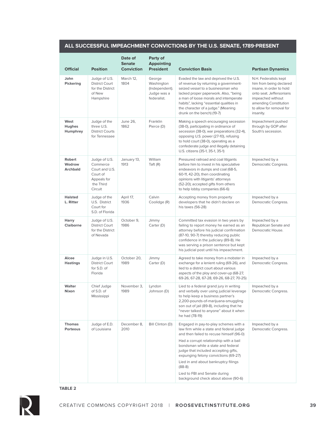#### **ALL SUCCESSFUL IMPEACHMENT CONVICTIONS BY THE U.S. SENATE, 1789-PRESENT**

| <b>Official</b>              | <b>Position</b>                                                                                | Date of<br><b>Senate</b><br><b>Conviction</b> | Party of<br><b>Appointing</b><br><b>President</b>                    | <b>Conviction Basis</b>                                                                                                                                                                                                                                                                                                                                                                                                   | <b>Partisan Dynamics</b>                                                                                                                                                                        |
|------------------------------|------------------------------------------------------------------------------------------------|-----------------------------------------------|----------------------------------------------------------------------|---------------------------------------------------------------------------------------------------------------------------------------------------------------------------------------------------------------------------------------------------------------------------------------------------------------------------------------------------------------------------------------------------------------------------|-------------------------------------------------------------------------------------------------------------------------------------------------------------------------------------------------|
| John<br>Pickering            | Judge of U.S.<br><b>District Court</b><br>for the District<br>of New<br>Hampshire              | March 12,<br>1804                             | George<br>Washington<br>(Independent).<br>Judge was a<br>federalist. | Evaded the law and deprived the U.S.<br>of revenue by returning a government-<br>seized vessel to a businessman who<br>lacked proper paperwork. Also, "being<br>a man of loose morals and intemperate<br>habits", lacking "essential qualities in<br>the character of a judge." (Meaning<br>drunk on the bench) (19-7)                                                                                                    | N.H. Federalists kept<br>him from being declared<br>insane, in order to hold<br>onto seat. Jeffersonians<br>impeached without<br>amending Constitution<br>to allow for removal for<br>insanity. |
| West<br>Hughes<br>Humphrey   | Judge of the<br>three U.S.<br><b>District Courts</b><br>for Tennessee                          | <b>June 26,</b><br>1862                       | Franklin<br>Pierce (D)                                               | Making a speech encouraging secession<br>(38-0), participating in ordinance of<br>secession (38-0), war preparations (32-4),<br>opposing U.S. power (27-10), refusing<br>to hold court (38-0), operating as a<br>confederate judge and illegally detaining<br>U.S. citizens (35-1, 35-1, 35-1)                                                                                                                            | Impeachment pushed<br>through by GOP after<br>South's secession.                                                                                                                                |
| Robert<br>Wodrow<br>Archbald | Judge of U.S.<br>Commerce<br>Court and U.S.<br>Court of<br>Appeals for<br>the Third<br>Circuit | January 13,<br>1913                           | William<br>Taft $(R)$                                                | Pressured railroad and coal litigants<br>before him to invest in his speculative<br>endeavors in dumps and coal (68-5,<br>60-11, 42-20), then coordinating<br>opinions with litigants' attorneys<br>(52-20); accepted gifts from others<br>to help lobby companies (66-6)                                                                                                                                                 | Impeached by a<br>Democratic Congress.                                                                                                                                                          |
| <b>Halsted</b><br>L. Ritter  | Judge of the<br>U.S. District<br>Court for<br>S.D. of Florida                                  | April 17,<br>1936                             | Calvin<br>Coolidge (R)                                               | Accepting money from property<br>developers that he didn't declare on<br>his taxes (56-28)                                                                                                                                                                                                                                                                                                                                | Impeached by a<br>Democratic Congress.                                                                                                                                                          |
| Harry<br>Claiborne           | Judge of U.S.<br><b>District Court</b><br>for the District<br>of Nevada                        | October 9,<br>1986                            | Jimmy<br>Carter (D)                                                  | Committed tax evasion in two years by<br>failing to report money he earned as an<br>attorney before his judicial confirmation<br>(87-10, 90-7) thereby reducing public<br>confidence in the judiciary (89-8). He<br>was serving a prison sentence but kept<br>his judicial post until his impeachment.                                                                                                                    | Impeached by a<br>Republican Senate and<br>Democratic House.                                                                                                                                    |
| Alcee<br><b>Hastings</b>     | Judge in U.S.<br><b>District Court</b><br>for S.D. of<br>Florida                               | October 20,<br>1989                           | Jimmy<br>Carter (D)                                                  | Agreed to take money from a mobster in<br>exchange for a lenient ruling (69-26), and<br>lied to a district court about various<br>aspects of the ploy and cover-up (68-27,<br>69-26, 67-28, 67-28, 69-26, 68-27, 70-25)                                                                                                                                                                                                   | Impeached by a<br>Democratic Congress.                                                                                                                                                          |
| Walter<br>Nixon              | Chief Judge<br>of S.D. of<br>Mississippi                                                       | November 3,<br>1989                           | Lyndon<br>Johnson (D)                                                | Lied to a federal grand jury in writing<br>and verbally over using judicial leverage<br>to help keep a business partner's<br>2,200-pounds-of-marijuana-smuggling<br>son out of jail (89-8), including that he<br>"never talked to anyone" about it when<br>he had (78-19)                                                                                                                                                 | Impeached by a<br>Democratic Congress.                                                                                                                                                          |
| <b>Thomas</b><br>Porteous    | Judge of E.D.<br>of Louisiana                                                                  | December 8,<br>2010                           | Bill Clinton (D)                                                     | Engaged in pay-to-play schemes with a<br>law firm while a state and federal judge<br>and then failed to recuse himself (96-0)<br>Had a corrupt relationship with a bail<br>bondsman while a state and federal<br>judge that included accepting gifts,<br>expunging felony convictions (69-27)<br>Lied in and about bankruptcy filings<br>$(88-8)$<br>Lied to FBI and Senate during<br>background check about above (90-6) | Impeached by a<br>Democratic Congress.                                                                                                                                                          |

#### **TABLE 2**

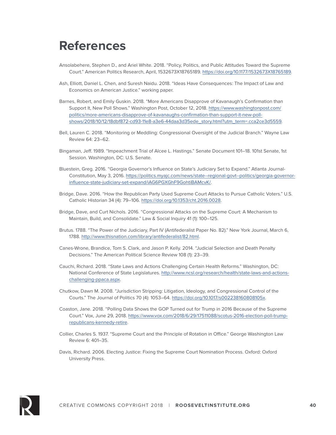### **References**

- Ansolabehere, Stephen D., and Ariel White. 2018. "Policy, Politics, and Public Attitudes Toward the Supreme Court." American Politics Research, April, 1532673X18765189. https://doi.org/10.1177/1532673X18765189.
- Ash, Elliott, Daniel L. Chen, and Suresh Naidu. 2018. "Ideas Have Consequences: The Impact of Law and Economics on American Justice." working paper.
- Barnes, Robert, and Emily Guskin. 2018. "More Americans Disapprove of Kavanaugh's Confirmation than Support It, New Poll Shows." Washington Post, October 12, 2018. https://www.washingtonpost.com/ politics/more-americans-disapprove-of-kavanaughs-confirmation-than-support-it-new-pollshows/2018/10/12/18dbf872-cd93-11e8-a3e6-44daa3d35ede\_story.html?utm\_term=.cca2ce3d5559.
- Bell, Lauren C. 2018. "Monitoring or Meddling: Congressional Oversight of the Judicial Branch." Wayne Law Review 64: 23–62.
- Bingaman, Jeff. 1989. "Impeachment Trial of Alcee L. Hastings." Senate Document 101–18. 101st Senate, 1st Session. Washington, DC: U.S. Senate.
- Bluestein, Greg. 2016. "Georgia Governor's Influence on State's Judiciary Set to Expand." Atlanta Journal-Constitution, May 3, 2016. https://politics.myajc.com/news/state--regional-govt--politics/georgia-governorinfluence-state-judiciary-set-expand/iAG6PGXGhF9GohtiBAMcvK/.
- Bridge, Dave. 2016. "How the Republican Party Used Supreme Court Attacks to Pursue Catholic Voters." U.S. Catholic Historian 34 (4): 79–106. https://doi.org/10.1353/cht.2016.0028.
- Bridge, Dave, and Curt Nichols. 2016. "Congressional Attacks on the Supreme Court: A Mechanism to Maintain, Build, and Consolidate." Law & Social Inquiry 41 (1): 100–125.
- Brutus. 1788. "The Power of the Judiciary, Part IV (Antifederalist Paper No. 82)." New York Journal, March 6, 1788. http://www.thisnation.com/library/antifederalist/82.html.
- Canes-Wrone, Brandice, Tom S. Clark, and Jason P. Kelly. 2014. "Judicial Selection and Death Penalty Decisions." The American Political Science Review 108 (1): 23–39.
- Cauchi, Richard. 2018. "State Laws and Actions Challenging Certain Health Reforms." Washington, DC: National Conference of State Legislatures. http://www.ncsl.org/research/health/state-laws-and-actionschallenging-ppaca.aspx.
- Chutkow, Dawn M. 2008. "Jurisdiction Stripping: Litigation, Ideology, and Congressional Control of the Courts." The Journal of Politics 70 (4): 1053–64. https://doi.org/10.1017/s002238160808105x.
- Coaston, Jane. 2018. "Polling Data Shows the GOP Turned out for Trump in 2016 Because of the Supreme Court." Vox, June 29, 2018. https://www.vox.com/2018/6/29/17511088/scotus-2016-election-poll-trumprepublicans-kennedy-retire.
- Collier, Charles S. 1937. "Supreme Court and the Principle of Rotation in Office." George Washington Law Review 6: 401–35.
- Davis, Richard. 2006. Electing Justice: Fixing the Supreme Court Nomination Process. Oxford: Oxford University Press.

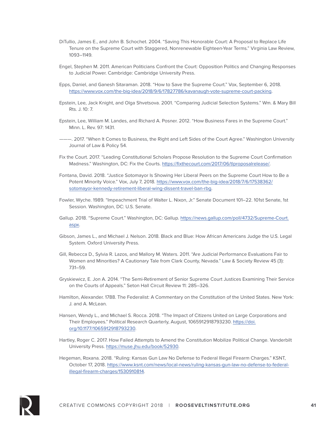- DiTullio, James E., and John B. Schochet. 2004. "Saving This Honorable Court: A Proposal to Replace Life Tenure on the Supreme Court with Staggered, Nonrenewable Eighteen-Year Terms." Virginia Law Review, 1093–1149.
- Engel, Stephen M. 2011. American Politicians Confront the Court: Opposition Politics and Changing Responses to Judicial Power. Cambridge: Cambridge University Press.
- Epps, Daniel, and Ganesh Sitaraman. 2018. "How to Save the Supreme Court." Vox, September 6, 2018. https://www.vox.com/the-big-idea/2018/9/6/17827786/kavanaugh-vote-supreme-court-packing.
- Epstein, Lee, Jack Knight, and Olga Shvetsova. 2001. "Comparing Judicial Selection Systems." Wm. & Mary Bill Rts. J. 10: 7.
- Epstein, Lee, William M. Landes, and Richard A. Posner. 2012. "How Business Fares in the Supreme Court." Minn. L. Rev. 97: 1431.
- ———. 2017. "When It Comes to Business, the Right and Left Sides of the Court Agree." Washington University Journal of Law & Policy 54.
- Fix the Court. 2017. "Leading Constitutional Scholars Propose Resolution to the Supreme Court Confirmation Madness." Washington, DC: Fix the Courts. https://fixthecourt.com/2017/06/tlproposalrelease/.
- Fontana, David. 2018. "Justice Sotomayor Is Showing Her Liberal Peers on the Supreme Court How to Be a Potent Minority Voice." Vox, July 7, 2018. https://www.vox.com/the-big-idea/2018/7/6/17538362/ sotomayor-kennedy-retirement-liberal-wing-dissent-travel-ban-rbg.
- Fowler, Wyche. 1989. "Impeachment Trial of Walter L. Nixon, Jr." Senate Document 101–22. 101st Senate, 1st Session. Washington, DC: U.S. Senate.
- Gallup. 2018. "Supreme Court." Washington, DC: Gallup. https://news.gallup.com/poll/4732/Supreme-Court. aspx.
- Gibson, James L., and Michael J. Nelson. 2018. Black and Blue: How African Americans Judge the U.S. Legal System. Oxford University Press.
- Gill, Rebecca D., Sylvia R. Lazos, and Mallory M. Waters. 2011. "Are Judicial Performance Evaluations Fair to Women and Minorities? A Cautionary Tale from Clark County, Nevada." Law & Society Review 45 (3): 731–59.
- Gryskiewicz, E. Jon A. 2014. "The Semi-Retirement of Senior Supreme Court Justices Examining Their Service on the Courts of Appeals." Seton Hall Circuit Review 11: 285–326.
- Hamilton, Alexander. 1788. The Federalist: A Commentary on the Constitution of the United States. New York: J. and A. McLean.
- Hansen, Wendy L., and Michael S. Rocca. 2018. "The Impact of Citizens United on Large Corporations and Their Employees." Political Research Quarterly, August, 1065912918793230. https://doi. org/10.1177/1065912918793230.
- Hartley, Roger C. 2017. How Failed Attempts to Amend the Constitution Mobilize Political Change. Vanderbilt University Press. https://muse.jhu.edu/book/52930.

Hegeman, Roxana. 2018. "Ruling: Kansas Gun Law No Defense to Federal Illegal Firearm Charges." KSNT, October 17, 2018. https://www.ksnt.com/news/local-news/ruling-kansas-gun-law-no-defense-to-federalillegal-firearm-charges/1530910814.

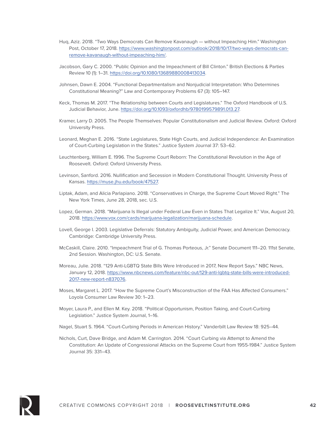- Huq, Aziz. 2018. "Two Ways Democrats Can Remove Kavanaugh without Impeaching Him." Washington Post, October 17, 2018. https://www.washingtonpost.com/outlook/2018/10/17/two-ways-democrats-canremove-kavanaugh-without-impeaching-him/.
- Jacobson, Gary C. 2000. "Public Opinion and the Impeachment of Bill Clinton." British Elections & Parties Review 10 (1): 1–31. https://doi.org/10.1080/13689880008413034.
- Johnsen, Dawn E. 2004. "Functional Departmentalism and Nonjudicial Interpretation: Who Determines Constitutional Meaning?" Law and Contemporary Problems 67 (3): 105–147.
- Keck, Thomas M. 2017. "The Relationship between Courts and Legislatures." The Oxford Handbook of U.S. Judicial Behavior, June. https://doi.org/10.1093/oxfordhb/9780199579891.013.27.
- Kramer, Larry D. 2005. The People Themselves: Popular Constitutionalism and Judicial Review. Oxford: Oxford University Press.
- Leonard, Meghan E. 2016. "State Legislatures, State High Courts, and Judicial Independence: An Examination of Court-Curbing Legislation in the States." Justice System Journal 37: 53–62.
- Leuchtenberg, William E. 1996. The Supreme Court Reborn: The Constitutional Revolution in the Age of Roosevelt. Oxford: Oxford University Press.
- Levinson, Sanford. 2016. Nullification and Secession in Modern Constitutional Thought. University Press of Kansas. https://muse.jhu.edu/book/47527.
- Liptak, Adam, and Alicia Parlapiano. 2018. "Conservatives in Charge, the Supreme Court Moved Right." The New York Times, June 28, 2018, sec. U.S.
- Lopez, German. 2018. "Marijuana Is Illegal under Federal Law Even in States That Legalize It." Vox, August 20, 2018. https://www.vox.com/cards/marijuana-legalization/marijuana-schedule.
- Lovell, George I. 2003. Legislative Deferrals: Statutory Ambiguity, Judicial Power, and American Democracy. Cambridge: Cambridge University Press.
- McCaskill, Claire. 2010. "Impeachment Trial of G. Thomas Porteous, Jr." Senate Document 111–20. 111st Senate, 2nd Session. Washington, DC: U.S. Senate.
- Moreau, Julie. 2018. "129 Anti-LGBTQ State Bills Were Introduced in 2017, New Report Says." NBC News, January 12, 2018. https://www.nbcnews.com/feature/nbc-out/129-anti-lgbtq-state-bills-were-introduced-2017-new-report-n837076.
- Moses, Margaret L. 2017. "How the Supreme Court's Misconstruction of the FAA Has Affected Consumers." Loyola Consumer Law Review 30: 1–23.
- Moyer, Laura P., and Ellen M. Key. 2018. "Political Opportunism, Position Taking, and Court-Curbing Legislation." Justice System Journal, 1–16.
- Nagel, Stuart S. 1964. "Court-Curbing Periods in American History." Vanderbilt Law Review 18: 925–44.
- Nichols, Curt, Dave Bridge, and Adam M. Carrington. 2014. "Court Curbing via Attempt to Amend the Constitution: An Update of Congressional Attacks on the Supreme Court from 1955-1984." Justice System Journal 35: 331–43.

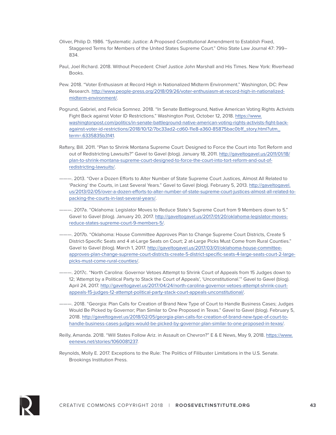- Oliver, Philip D. 1986. "Systematic Justice: A Proposed Constitutional Amendment to Establish Fixed, Staggered Terms for Members of the United States Supreme Court." Ohio State Law Journal 47: 799– 834.
- Paul, Joel Richard. 2018. Without Precedent: Chief Justice John Marshall and His Times. New York: Riverhead Books.
- Pew. 2018. "Voter Enthusiasm at Record High in Nationalized Midterm Environment." Washington, DC: Pew Research. http://www.people-press.org/2018/09/26/voter-enthusiasm-at-record-high-in-nationalizedmidterm-environment/.
- Pogrund, Gabriel, and Felicia Somnez. 2018. "In Senate Battleground, Native American Voting Rights Activists Fight Back against Voter ID Restrictions." Washington Post, October 12, 2018. https://www. washingtonpost.com/politics/in-senate-battleground-native-american-voting-rights-activists-fight-backagainst-voter-id-restrictions/2018/10/12/7bc33ad2-cd60-11e8-a360-85875bac0b1f\_story.html?utm term=.6335835b3141.
- Raftery, Bill. 2011. "Plan to Shrink Montana Supreme Court: Designed to Force the Court into Tort Reform and out of Redistricting Lawsuits?" Gavel to Gavel (blog). January 18, 2011. http://gaveltogavel.us/2011/01/18/ plan-to-shrink-montana-supreme-court-designed-to-force-the-court-into-tort-reform-and-out-ofredistricting-lawsuits/.
- ———. 2013. "Over a Dozen Efforts to Alter Number of State Supreme Court Justices, Almost All Related to 'Packing' the Courts, in Last Several Years." Gavel to Gavel (blog). February 5, 2013. http://gaveltogavel. us/2013/02/05/over-a-dozen-efforts-to-alter-number-of-state-supreme-court-justices-almost-all-related-topacking-the-courts-in-last-several-years/.
- ———. 2017a. "Oklahoma: Legislator Moves to Reduce State's Supreme Court from 9 Members down to 5." Gavel to Gavel (blog). January 20, 2017. http://gaveltogavel.us/2017/01/20/oklahoma-legislator-movesreduce-states-supreme-court-9-members-5/.
- ———. 2017b. "Oklahoma: House Committee Approves Plan to Change Supreme Court Districts, Create 5 District-Specific Seats and 4 at-Large Seats on Court; 2 at-Large Picks Must Come from Rural Counties." Gavel to Gavel (blog). March 1, 2017. http://gaveltogavel.us/2017/03/01/oklahoma-house-committeeapproves-plan-change-supreme-court-districts-create-5-district-specific-seats-4-large-seats-court-2-largepicks-must-come-rural-counties/.
- ———. 2017c. "North Carolina: Governor Vetoes Attempt to Shrink Court of Appeals from 15 Judges down to 12; 'Attempt by a Political Party to Stack the Court of Appeals', 'Unconstitutional.'" Gavel to Gavel (blog). April 24, 2017. http://gaveltogavel.us/2017/04/24/north-carolina-governor-vetoes-attempt-shrink-courtappeals-15-judges-12-attempt-political-party-stack-court-appeals-unconstitutional/.
- ———. 2018. "Georgia: Plan Calls for Creation of Brand New Type of Court to Handle Business Cases; Judges Would Be Picked by Governor; Plan Similar to One Proposed in Texas." Gavel to Gavel (blog). February 5, 2018. http://gaveltogavel.us/2018/02/05/georgia-plan-calls-for-creation-of-brand-new-type-of-court-tohandle-business-cases-judges-would-be-picked-by-governor-plan-similar-to-one-proposed-in-texas/.
- Reilly, Amanda. 2018. "Will States Follow Ariz. in Assault on Chevron?" E & E News, May 9, 2018. https://www. eenews.net/stories/1060081237.
- Reynolds, Molly E. 2017. Exceptions to the Rule: The Politics of Filibuster Limitations in the U.S. Senate. Brookings Institution Press.

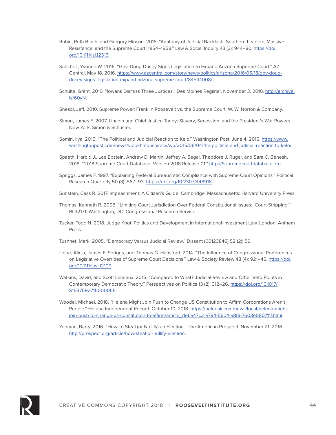- Rubin, Ruth Bloch, and Gregory Elinson. 2018. "Anatomy of Judicial Backlash: Southern Leaders, Massive Resistance, and the Supreme Court, 1954–1958." Law & Social Inquiry 43 (3): 944–80. https://doi. org/10.1111/lsi.12316.
- Sanchez, Yvonne W. 2016. "Gov. Doug Ducey Signs Legislation to Expand Arizona Supreme Court." AZ Central, May 18, 2016. https://www.azcentral.com/story/news/politics/arizona/2016/05/18/gov-dougducey-signs-legislation-expand-arizona-supreme-court/84544008/.
- Schulte, Grant. 2010. "Iowans Dismiss Three Justices." Des Moines Register, November 3, 2010. http://archive. is/60yN.
- Shesol, Jeff. 2010. Supreme Power: Franklin Roosevelt vs. the Supreme Court. W. W. Norton & Company.
- Simon, James F. 2007. Lincoln and Chief Justice Taney: Slavery, Secession, and the President's War Powers. New York: Simon & Schuster.
- Somin, Ilya. 2015. "The Political and Judicial Reaction to Kelo." Washington Post, June 4, 2015. https://www. washingtonpost.com/news/volokh-conspiracy/wp/2015/06/04/the-political-and-judicial-reaction-to-kelo/.
- Spaeth, Harold J., Lee Epstein, Andrew D. Martin, Jeffrey A. Segal, Theodore J. Ruger, and Sara C. Benesh. 2018. "2018 Supreme Court Database, Version 2018 Release 01." http://Supremecourtdatabase.org.
- Spriggs, James F. 1997. "Explaining Federal Bureaucratic Compliance with Supreme Court Opinions." Political Research Quarterly 50 (3): 567–93. https://doi.org/10.2307/448918.
- Sunstein, Cass R. 2017. Impeachment: A Citizen's Guide. Cambridge, Massachusetts: Harvard University Press.
- Thomas, Kenneth R. 2005. "Limiting Court Jurisdiction Over Federal Constitutional Issues: 'Court-Stripping.'" RL32171. Washington, DC: Congressional Research Service.
- Tucker, Todd N. 2018. Judge Knot: Politics and Development in International Investment Law. London: Anthem Press.
- Tushnet, Mark. 2005. "Democracy Versus Judicial Review." Dissent (00123846) 52 (2): 59.
- Uribe, Alicia, James F. Spriggs, and Thomas G. Hansford. 2014. "The Influence of Congressional Preferences on Legislative Overrides of Supreme Court Decisions." Law & Society Review 48 (4): 921-45. https://doi. org/10.1111/lasr.12109.
- Watkins, David, and Scott Lemieux. 2015. "Compared to What? Judicial Review and Other Veto Points in Contemporary Democratic Theory." Perspectives on Politics 13 (2): 312–26. https://doi.org/10.1017/ S1537592715000055.
- Woodel, Michael. 2018. "Helena Might Join Push to Change US Constitution to Affirm Corporations Aren't People." Helena Independent Record, October 10, 2018. https://helenair.com/news/local/helena-mightjoin-push-to-change-us-constitution-to-affirm/article\_de6a47c2-a794-56b4-a8f8-7603e080711f.html.

Yeoman, Barry. 2016. "How To Steal (or Nullify) an Election." The American Prospect, November 21, 2016. http://prospect.org/article/how-steal-or-nullify-election.